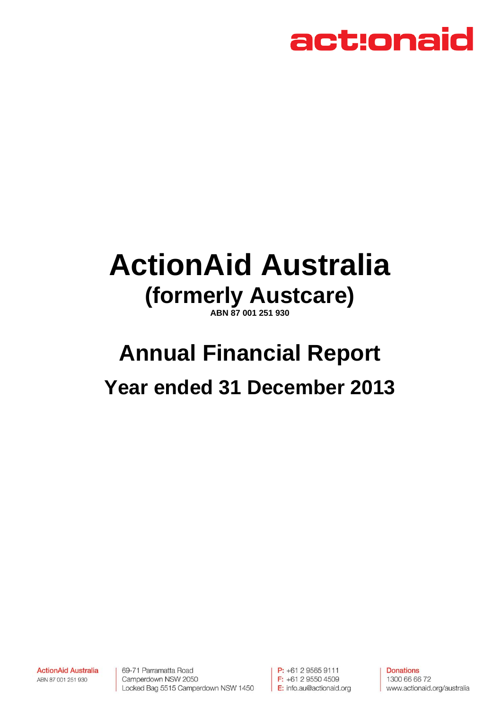

# **ActionAid Australia (formerly Austcare)**

**ABN 87 001 251 930** 

# **Annual Financial Report Year ended 31 December 2013**

**ActionAid Australia** ABN 87 001 251 930

69-71 Parramatta Road Camperdown NSW 2050 Locked Bag 5515 Camperdown NSW 1450

P: +61 2 9565 9111  $F: +61295504509$ E: info.au@actionaid.org

**Donations** 1300 66 66 72 www.actionaid.org/australia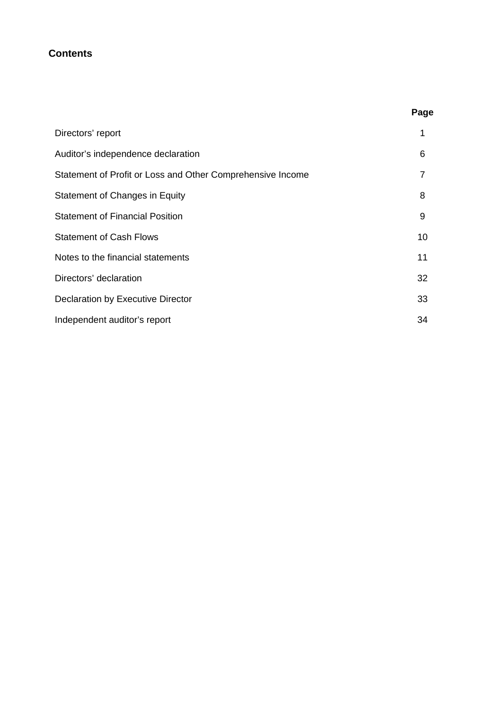### **Contents**

| Directors' report                                          |    |
|------------------------------------------------------------|----|
| Auditor's independence declaration                         | 6  |
| Statement of Profit or Loss and Other Comprehensive Income |    |
| Statement of Changes in Equity                             | 8  |
| <b>Statement of Financial Position</b>                     | 9  |
| <b>Statement of Cash Flows</b>                             | 10 |
| Notes to the financial statements                          | 11 |
| Directors' declaration                                     | 32 |
| Declaration by Executive Director                          | 33 |
| Independent auditor's report                               | 34 |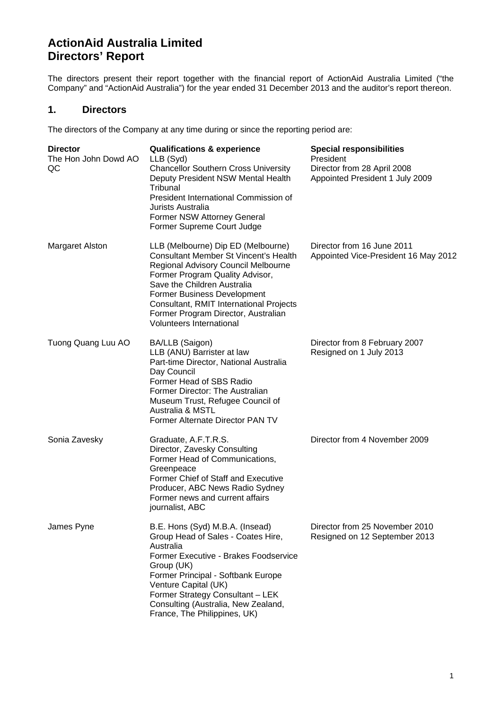# **ActionAid Australia Limited Directors' Report**

The directors present their report together with the financial report of ActionAid Australia Limited ("the Company" and "ActionAid Australia") for the year ended 31 December 2013 and the auditor's report thereon.

### **1. Directors**

The directors of the Company at any time during or since the reporting period are:

| <b>Director</b><br>The Hon John Dowd AO<br>QC | <b>Qualifications &amp; experience</b><br>LLB (Syd)<br><b>Chancellor Southern Cross University</b><br>Deputy President NSW Mental Health<br>Tribunal<br>President International Commission of<br>Jurists Australia<br>Former NSW Attorney General<br>Former Supreme Court Judge                                                                 | <b>Special responsibilities</b><br>President<br>Director from 28 April 2008<br>Appointed President 1 July 2009 |
|-----------------------------------------------|-------------------------------------------------------------------------------------------------------------------------------------------------------------------------------------------------------------------------------------------------------------------------------------------------------------------------------------------------|----------------------------------------------------------------------------------------------------------------|
| <b>Margaret Alston</b>                        | LLB (Melbourne) Dip ED (Melbourne)<br><b>Consultant Member St Vincent's Health</b><br>Regional Advisory Council Melbourne<br>Former Program Quality Advisor,<br>Save the Children Australia<br>Former Business Development<br>Consultant, RMIT International Projects<br>Former Program Director, Australian<br><b>Volunteers International</b> | Director from 16 June 2011<br>Appointed Vice-President 16 May 2012                                             |
| Tuong Quang Luu AO                            | BA/LLB (Saigon)<br>LLB (ANU) Barrister at law<br>Part-time Director, National Australia<br>Day Council<br>Former Head of SBS Radio<br>Former Director: The Australian<br>Museum Trust, Refugee Council of<br><b>Australia &amp; MSTL</b><br>Former Alternate Director PAN TV                                                                    | Director from 8 February 2007<br>Resigned on 1 July 2013                                                       |
| Sonia Zavesky                                 | Graduate, A.F.T.R.S.<br>Director, Zavesky Consulting<br>Former Head of Communications,<br>Greenpeace<br>Former Chief of Staff and Executive<br>Producer, ABC News Radio Sydney<br>Former news and current affairs<br>journalist, ABC                                                                                                            | Director from 4 November 2009                                                                                  |
| James Pyne                                    | B.E. Hons (Syd) M.B.A. (Insead)<br>Group Head of Sales - Coates Hire,<br>Australia<br>Former Executive - Brakes Foodservice<br>Group (UK)<br>Former Principal - Softbank Europe<br>Venture Capital (UK)<br>Former Strategy Consultant - LEK<br>Consulting (Australia, New Zealand,<br>France, The Philippines, UK)                              | Director from 25 November 2010<br>Resigned on 12 September 2013                                                |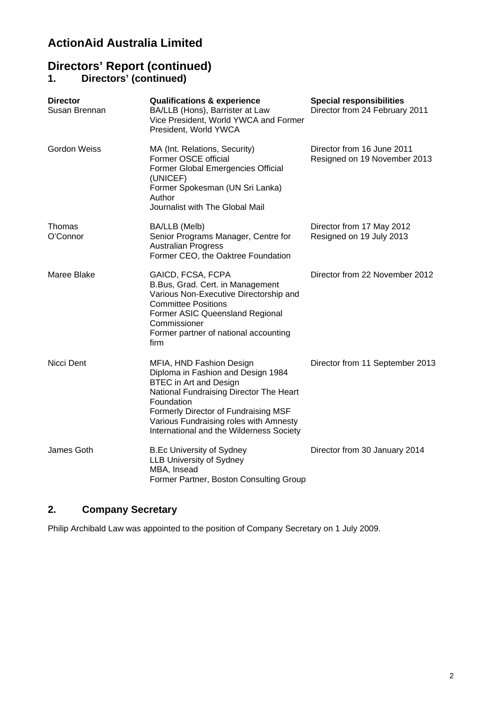# **ActionAid Australia Limited**

# **Directors' Report (continued)**

### **1. Directors' (continued)**

| <b>Director</b><br>Susan Brennan | <b>Qualifications &amp; experience</b><br>BA/LLB (Hons), Barrister at Law<br>Vice President, World YWCA and Former<br>President, World YWCA                                                                                                                                            | <b>Special responsibilities</b><br>Director from 24 February 2011 |
|----------------------------------|----------------------------------------------------------------------------------------------------------------------------------------------------------------------------------------------------------------------------------------------------------------------------------------|-------------------------------------------------------------------|
| <b>Gordon Weiss</b>              | MA (Int. Relations, Security)<br>Former OSCE official<br>Former Global Emergencies Official<br>(UNICEF)<br>Former Spokesman (UN Sri Lanka)<br>Author<br>Journalist with The Global Mail                                                                                                | Director from 16 June 2011<br>Resigned on 19 November 2013        |
| Thomas<br>O'Connor               | BA/LLB (Melb)<br>Senior Programs Manager, Centre for<br><b>Australian Progress</b><br>Former CEO, the Oaktree Foundation                                                                                                                                                               | Director from 17 May 2012<br>Resigned on 19 July 2013             |
| Maree Blake                      | GAICD, FCSA, FCPA<br>B.Bus, Grad. Cert. in Management<br>Various Non-Executive Directorship and<br><b>Committee Positions</b><br>Former ASIC Queensland Regional<br>Commissioner<br>Former partner of national accounting<br>firm                                                      | Director from 22 November 2012                                    |
| Nicci Dent                       | MFIA, HND Fashion Design<br>Diploma in Fashion and Design 1984<br><b>BTEC</b> in Art and Design<br>National Fundraising Director The Heart<br>Foundation<br>Formerly Director of Fundraising MSF<br>Various Fundraising roles with Amnesty<br>International and the Wilderness Society | Director from 11 September 2013                                   |
| James Goth                       | <b>B.Ec University of Sydney</b><br><b>LLB University of Sydney</b><br>MBA, Insead<br>Former Partner, Boston Consulting Group                                                                                                                                                          | Director from 30 January 2014                                     |

## **2. Company Secretary**

Philip Archibald Law was appointed to the position of Company Secretary on 1 July 2009.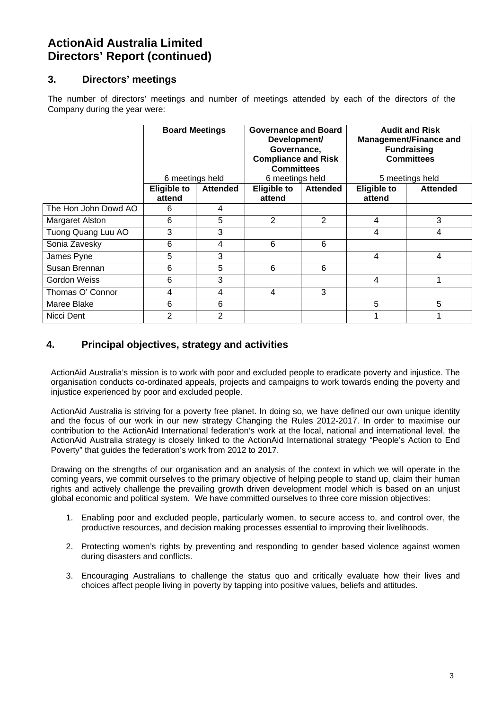# **ActionAid Australia Limited Directors' Report (continued)**

## **3. Directors' meetings**

The number of directors' meetings and number of meetings attended by each of the directors of the Company during the year were:

|                      |                              | <b>Audit and Risk</b><br><b>Board Meetings</b><br><b>Governance and Board</b><br><b>Management/Finance and</b><br>Development/<br>Governance,<br><b>Fundraising</b><br><b>Compliance and Risk</b><br><b>Committees</b><br><b>Committees</b><br>6 meetings held<br>6 meetings held<br>5 meetings held |                              |                 |   |                 |
|----------------------|------------------------------|------------------------------------------------------------------------------------------------------------------------------------------------------------------------------------------------------------------------------------------------------------------------------------------------------|------------------------------|-----------------|---|-----------------|
|                      | <b>Eligible to</b><br>attend | <b>Attended</b>                                                                                                                                                                                                                                                                                      | <b>Eligible to</b><br>attend | <b>Attended</b> |   | <b>Attended</b> |
| The Hon John Dowd AO | 6                            | 4                                                                                                                                                                                                                                                                                                    |                              |                 |   |                 |
| Margaret Alston      | 6                            | 5                                                                                                                                                                                                                                                                                                    | 2                            | 2               | 4 | 3               |
| Tuong Quang Luu AO   | 3                            | 3                                                                                                                                                                                                                                                                                                    |                              |                 | 4 | 4               |
| Sonia Zavesky        | 6                            | 4                                                                                                                                                                                                                                                                                                    | 6                            | 6               |   |                 |
| James Pyne           | 5                            | 3                                                                                                                                                                                                                                                                                                    |                              |                 | 4 | 4               |
| Susan Brennan        | 6                            | 5                                                                                                                                                                                                                                                                                                    | 6                            | 6               |   |                 |
| <b>Gordon Weiss</b>  | 6                            | 3                                                                                                                                                                                                                                                                                                    |                              |                 | 4 |                 |
| Thomas O' Connor     | 4                            | 4                                                                                                                                                                                                                                                                                                    | 4                            | 3               |   |                 |
| Maree Blake          | 6                            | 6                                                                                                                                                                                                                                                                                                    |                              |                 | 5 | 5               |
| Nicci Dent           | 2                            | 2                                                                                                                                                                                                                                                                                                    |                              |                 |   |                 |

### **4. Principal objectives, strategy and activities**

ActionAid Australia's mission is to work with poor and excluded people to eradicate poverty and injustice. The organisation conducts co-ordinated appeals, projects and campaigns to work towards ending the poverty and injustice experienced by poor and excluded people.

ActionAid Australia is striving for a poverty free planet. In doing so, we have defined our own unique identity and the focus of our work in our new strategy Changing the Rules 2012-2017. In order to maximise our contribution to the ActionAid International federation's work at the local, national and international level, the ActionAid Australia strategy is closely linked to the ActionAid International strategy "People's Action to End Poverty" that guides the federation's work from 2012 to 2017.

Drawing on the strengths of our organisation and an analysis of the context in which we will operate in the coming years, we commit ourselves to the primary objective of helping people to stand up, claim their human rights and actively challenge the prevailing growth driven development model which is based on an unjust global economic and political system. We have committed ourselves to three core mission objectives:

- 1. Enabling poor and excluded people, particularly women, to secure access to, and control over, the productive resources, and decision making processes essential to improving their livelihoods.
- 2. Protecting women's rights by preventing and responding to gender based violence against women during disasters and conflicts.
- 3. Encouraging Australians to challenge the status quo and critically evaluate how their lives and choices affect people living in poverty by tapping into positive values, beliefs and attitudes.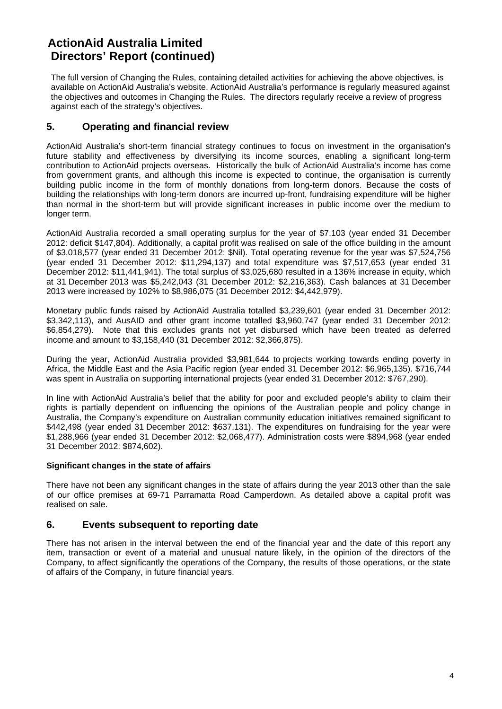# **ActionAid Australia Limited Directors' Report (continued)**

The full version of Changing the Rules, containing detailed activities for achieving the above objectives, is available on ActionAid Australia's website. ActionAid Australia's performance is regularly measured against the objectives and outcomes in Changing the Rules. The directors regularly receive a review of progress against each of the strategy's objectives.

### **5. Operating and financial review**

ActionAid Australia's short-term financial strategy continues to focus on investment in the organisation's future stability and effectiveness by diversifying its income sources, enabling a significant long-term contribution to ActionAid projects overseas. Historically the bulk of ActionAid Australia's income has come from government grants, and although this income is expected to continue, the organisation is currently building public income in the form of monthly donations from long-term donors. Because the costs of building the relationships with long-term donors are incurred up-front, fundraising expenditure will be higher than normal in the short-term but will provide significant increases in public income over the medium to longer term.

ActionAid Australia recorded a small operating surplus for the year of \$7,103 (year ended 31 December 2012: deficit \$147,804). Additionally, a capital profit was realised on sale of the office building in the amount of \$3,018,577 (year ended 31 December 2012: \$Nil). Total operating revenue for the year was \$7,524,756 (year ended 31 December 2012: \$11,294,137) and total expenditure was \$7,517,653 (year ended 31 December 2012: \$11,441,941). The total surplus of \$3,025,680 resulted in a 136% increase in equity, which at 31 December 2013 was \$5,242,043 (31 December 2012: \$2,216,363). Cash balances at 31 December 2013 were increased by 102% to \$8,986,075 (31 December 2012: \$4,442,979).

Monetary public funds raised by ActionAid Australia totalled \$3,239,601 (year ended 31 December 2012: \$3,342,113), and AusAID and other grant income totalled \$3,960,747 (year ended 31 December 2012; \$6,854,279). Note that this excludes grants not yet disbursed which have been treated as deferred income and amount to \$3,158,440 (31 December 2012: \$2,366,875).

During the year, ActionAid Australia provided \$3,981,644 to projects working towards ending poverty in Africa, the Middle East and the Asia Pacific region (year ended 31 December 2012: \$6,965,135). \$716,744 was spent in Australia on supporting international projects (year ended 31 December 2012: \$767,290).

In line with ActionAid Australia's belief that the ability for poor and excluded people's ability to claim their rights is partially dependent on influencing the opinions of the Australian people and policy change in Australia, the Company's expenditure on Australian community education initiatives remained significant to \$442,498 (year ended 31 December 2012: \$637,131). The expenditures on fundraising for the year were \$1,288,966 (year ended 31 December 2012: \$2,068,477). Administration costs were \$894,968 (year ended 31 December 2012: \$874,602).

#### **Significant changes in the state of affairs**

There have not been any significant changes in the state of affairs during the year 2013 other than the sale of our office premises at 69-71 Parramatta Road Camperdown. As detailed above a capital profit was realised on sale.

### **6. Events subsequent to reporting date**

There has not arisen in the interval between the end of the financial year and the date of this report any item, transaction or event of a material and unusual nature likely, in the opinion of the directors of the Company, to affect significantly the operations of the Company, the results of those operations, or the state of affairs of the Company, in future financial years.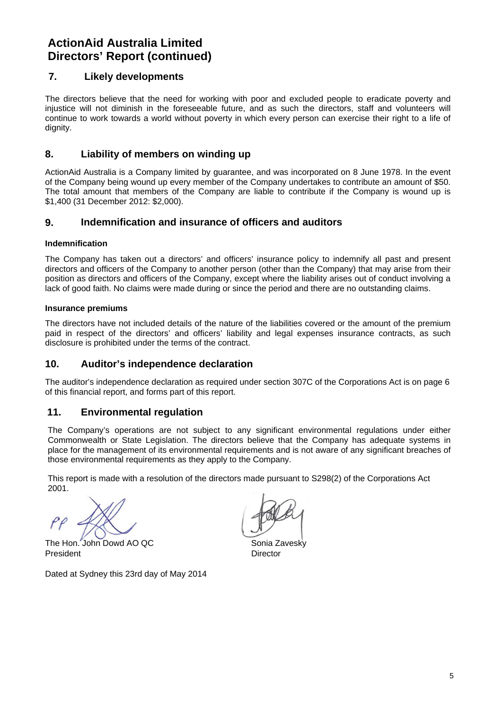# **ActionAid Australia Limited Directors' Report (continued)**

### **7. Likely developments**

The directors believe that the need for working with poor and excluded people to eradicate poverty and injustice will not diminish in the foreseeable future, and as such the directors, staff and volunteers will continue to work towards a world without poverty in which every person can exercise their right to a life of dianity.

### **8. Liability of members on winding up**

ActionAid Australia is a Company limited by guarantee, and was incorporated on 8 June 1978. In the event of the Company being wound up every member of the Company undertakes to contribute an amount of \$50. The total amount that members of the Company are liable to contribute if the Company is wound up is \$1,400 (31 December 2012: \$2,000).

### **9. Indemnification and insurance of officers and auditors**

### **Indemnification**

The Company has taken out a directors' and officers' insurance policy to indemnify all past and present directors and officers of the Company to another person (other than the Company) that may arise from their position as directors and officers of the Company, except where the liability arises out of conduct involving a lack of good faith. No claims were made during or since the period and there are no outstanding claims.

### **Insurance premiums**

The directors have not included details of the nature of the liabilities covered or the amount of the premium paid in respect of the directors' and officers' liability and legal expenses insurance contracts, as such disclosure is prohibited under the terms of the contract.

### **10. Auditor's independence declaration**

The auditor's independence declaration as required under section 307C of the Corporations Act is on page 6 of this financial report, and forms part of this report.

### **11. Environmental regulation**

The Company's operations are not subject to any significant environmental regulations under either Commonwealth or State Legislation. The directors believe that the Company has adequate systems in place for the management of its environmental requirements and is not aware of any significant breaches of those environmental requirements as they apply to the Company.

This report is made with a resolution of the directors made pursuant to S298(2) of the Corporations Act 2001.

The Hon. John Dowd AO OC Sonia Zavesky President **Director** 

Dated at Sydney this 23rd day of May 2014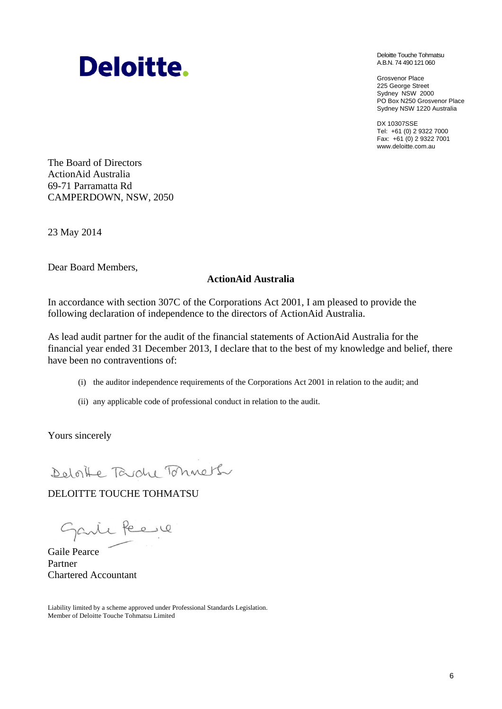# **Deloitte.**

Deloitte Touche Tohmatsu A.B.N. 74 490 121 060

Grosvenor Place 225 George Street Sydney NSW 2000 PO Box N250 Grosvenor Place Sydney NSW 1220 Australia

DX 10307SSE Tel: +61 (0) 2 9322 7000 Fax: +61 (0) 2 9322 7001 www.deloitte.com.au

The Board of Directors ActionAid Australia 69-71 Parramatta Rd CAMPERDOWN, NSW, 2050

23 May 2014

Dear Board Members,

### **ActionAid Australia**

In accordance with section 307C of the Corporations Act 2001, I am pleased to provide the following declaration of independence to the directors of ActionAid Australia.

As lead audit partner for the audit of the financial statements of ActionAid Australia for the financial year ended 31 December 2013, I declare that to the best of my knowledge and belief, there have been no contraventions of:

- (i) the auditor independence requirements of the Corporations Act 2001 in relation to the audit; and
- (ii) any applicable code of professional conduct in relation to the audit.

Yours sincerely

Deloite Tardy Tohneth

### DELOITTE TOUCHE TOHMATSU

Garie Peere

Gaile Pearce Partner Chartered Accountant

Liability limited by a scheme approved under Professional Standards Legislation. Member of Deloitte Touche Tohmatsu Limited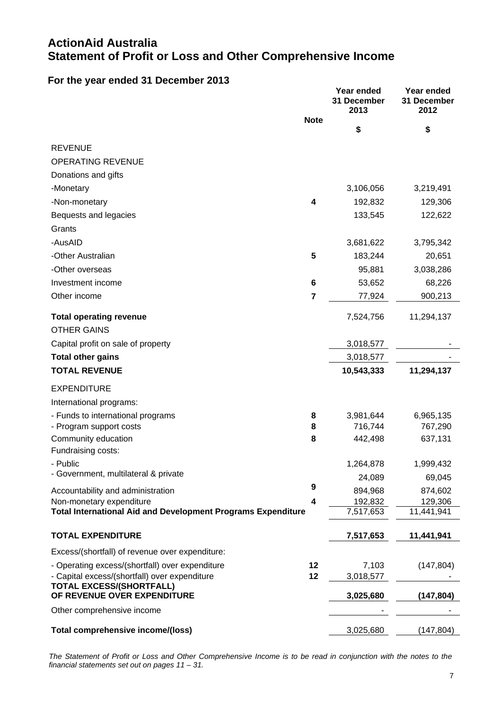# **ActionAid Australia Statement of Profit or Loss and Other Comprehensive Income**

## **For the year ended 31 December 2013**

|                                                                     |                | Year ended<br>31 December<br>2013 | Year ended<br>31 December<br>2012 |
|---------------------------------------------------------------------|----------------|-----------------------------------|-----------------------------------|
|                                                                     | <b>Note</b>    |                                   |                                   |
|                                                                     |                | \$                                | \$                                |
| <b>REVENUE</b>                                                      |                |                                   |                                   |
| <b>OPERATING REVENUE</b>                                            |                |                                   |                                   |
| Donations and gifts                                                 |                |                                   |                                   |
| -Monetary                                                           |                | 3,106,056                         | 3,219,491                         |
| -Non-monetary                                                       | 4              | 192,832                           | 129,306                           |
| Bequests and legacies                                               |                | 133,545                           | 122,622                           |
| Grants                                                              |                |                                   |                                   |
| -AusAID                                                             |                | 3,681,622                         | 3,795,342                         |
| -Other Australian                                                   | 5              | 183,244                           | 20,651                            |
| -Other overseas                                                     |                | 95,881                            | 3,038,286                         |
| Investment income                                                   | 6              | 53,652                            | 68,226                            |
| Other income                                                        | $\overline{7}$ | 77,924                            | 900,213                           |
|                                                                     |                |                                   |                                   |
| <b>Total operating revenue</b>                                      |                | 7,524,756                         | 11,294,137                        |
| <b>OTHER GAINS</b>                                                  |                |                                   |                                   |
| Capital profit on sale of property                                  |                | 3,018,577                         |                                   |
| <b>Total other gains</b>                                            |                | 3,018,577                         |                                   |
| <b>TOTAL REVENUE</b>                                                |                | 10,543,333                        | 11,294,137                        |
| <b>EXPENDITURE</b>                                                  |                |                                   |                                   |
| International programs:                                             |                |                                   |                                   |
| - Funds to international programs                                   | 8              | 3,981,644                         | 6,965,135                         |
| - Program support costs                                             | 8              | 716,744                           | 767,290                           |
| Community education                                                 | 8              | 442,498                           | 637,131                           |
| Fundraising costs:                                                  |                |                                   |                                   |
| Public<br>- Government, multilateral & private                      |                | 1,264,878                         | 1,999,432                         |
|                                                                     | 9              | 24,089                            | 69,045                            |
| Accountability and administration<br>Non-monetary expenditure       | 4              | 894,968<br>192,832                | 874,602<br>129,306                |
| <b>Total International Aid and Development Programs Expenditure</b> |                | 7,517,653                         | 11,441,941                        |
|                                                                     |                |                                   |                                   |
| <b>TOTAL EXPENDITURE</b>                                            |                | 7,517,653                         | 11,441,941                        |
| Excess/(shortfall) of revenue over expenditure:                     |                |                                   |                                   |
| - Operating excess/(shortfall) over expenditure                     | 12             | 7,103                             | (147, 804)                        |
| - Capital excess/(shortfall) over expenditure                       | 12             | 3,018,577                         |                                   |
| <b>TOTAL EXCESS/(SHORTFALL)</b><br>OF REVENUE OVER EXPENDITURE      |                | 3,025,680                         | (147, 804)                        |
|                                                                     |                |                                   |                                   |
| Other comprehensive income                                          |                |                                   |                                   |
| Total comprehensive income/(loss)                                   |                | 3,025,680                         | (147, 804)                        |

*The Statement of Profit or Loss and Other Comprehensive Income is to be read in conjunction with the notes to the financial statements set out on pages 11 – 31.*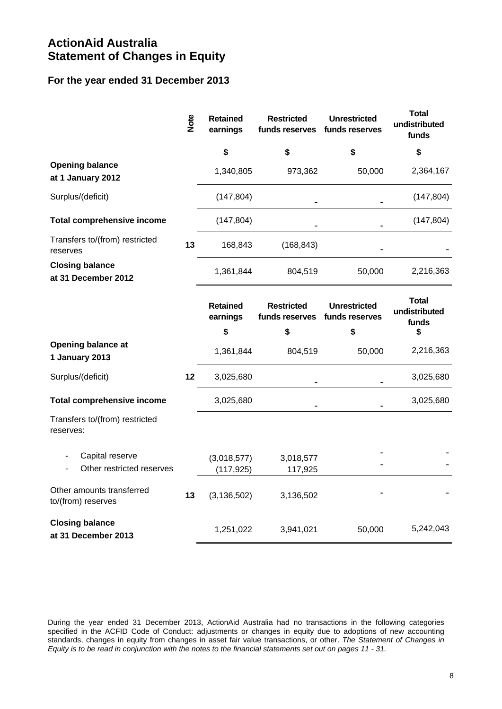# **ActionAid Australia Statement of Changes in Equity**

## **For the year ended 31 December 2013**

|                                                 | Note | <b>Retained</b><br>earnings | <b>Restricted</b><br>funds reserves | <b>Unrestricted</b><br>funds reserves | <b>Total</b><br>undistributed<br>funds |
|-------------------------------------------------|------|-----------------------------|-------------------------------------|---------------------------------------|----------------------------------------|
|                                                 |      | \$                          | \$                                  | \$                                    | \$                                     |
| <b>Opening balance</b><br>at 1 January 2012     |      | 1,340,805                   | 973,362                             | 50,000                                | 2,364,167                              |
| Surplus/(deficit)                               |      | (147, 804)                  |                                     |                                       | (147, 804)                             |
| <b>Total comprehensive income</b>               |      | (147, 804)                  |                                     |                                       | (147, 804)                             |
| Transfers to/(from) restricted<br>reserves      | 13   | 168,843                     | (168, 843)                          |                                       |                                        |
| <b>Closing balance</b><br>at 31 December 2012   |      | 1,361,844                   | 804,519                             | 50,000                                | 2,216,363                              |
|                                                 |      | <b>Retained</b><br>earnings | <b>Restricted</b><br>funds reserves | <b>Unrestricted</b><br>funds reserves | <b>Total</b><br>undistributed<br>funds |
|                                                 |      | \$                          | \$                                  | \$                                    | \$                                     |
| <b>Opening balance at</b><br>1 January 2013     |      | 1,361,844                   | 804,519                             | 50,000                                | 2,216,363                              |
| Surplus/(deficit)                               | 12   | 3,025,680                   |                                     |                                       | 3,025,680                              |
| <b>Total comprehensive income</b>               |      | 3,025,680                   |                                     |                                       | 3,025,680                              |
| Transfers to/(from) restricted<br>reserves:     |      |                             |                                     |                                       |                                        |
| Capital reserve<br>Other restricted reserves    |      | (3,018,577)<br>(117, 925)   | 3,018,577<br>117,925                |                                       |                                        |
| Other amounts transferred<br>to/(from) reserves | 13   | (3, 136, 502)               | 3,136,502                           |                                       |                                        |
| <b>Closing balance</b><br>at 31 December 2013   |      | 1,251,022                   | 3,941,021                           | 50,000                                | 5,242,043                              |

During the year ended 31 December 2013, ActionAid Australia had no transactions in the following categories specified in the ACFID Code of Conduct: adjustments or changes in equity due to adoptions of new accounting standards, changes in equity from changes in asset fair value transactions, or other. *The Statement of Changes in Equity is to be read in conjunction with the notes to the financial statements set out on pages 11 - 31.*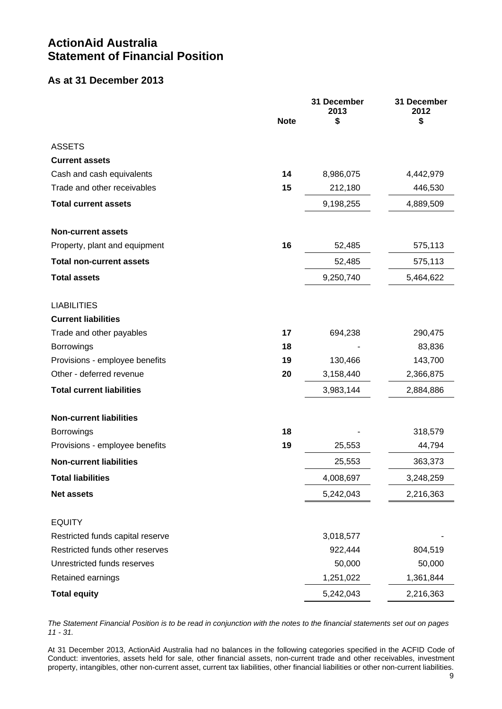# **ActionAid Australia Statement of Financial Position**

## **As at 31 December 2013**

|                                                   |             | 31 December<br>2013 | 31 December<br>2012 |
|---------------------------------------------------|-------------|---------------------|---------------------|
|                                                   | <b>Note</b> | \$                  | \$                  |
|                                                   |             |                     |                     |
| <b>ASSETS</b>                                     |             |                     |                     |
| <b>Current assets</b>                             |             |                     |                     |
| Cash and cash equivalents                         | 14          | 8,986,075           | 4,442,979           |
| Trade and other receivables                       | 15          | 212,180             | 446,530             |
| <b>Total current assets</b>                       |             | 9,198,255           | 4,889,509           |
| <b>Non-current assets</b>                         |             |                     |                     |
| Property, plant and equipment                     | 16          | 52,485              | 575,113             |
| <b>Total non-current assets</b>                   |             | 52,485              | 575,113             |
| <b>Total assets</b>                               |             | 9,250,740           | 5,464,622           |
| <b>LIABILITIES</b>                                |             |                     |                     |
| <b>Current liabilities</b>                        |             |                     |                     |
| Trade and other payables                          | 17          | 694,238             | 290,475             |
| <b>Borrowings</b>                                 | 18          |                     | 83,836              |
| Provisions - employee benefits                    | 19          | 130,466             | 143,700             |
| Other - deferred revenue                          | 20          | 3,158,440           | 2,366,875           |
| <b>Total current liabilities</b>                  |             | 3,983,144           | 2,884,886           |
|                                                   |             |                     |                     |
| <b>Non-current liabilities</b>                    |             |                     |                     |
| <b>Borrowings</b>                                 | 18          |                     | 318,579             |
| Provisions - employee benefits                    | 19          | 25,553              | 44,794              |
| <b>Non-current liabilities</b>                    |             | 25,553              | 363,373             |
| <b>Total liabilities</b>                          |             | 4,008,697           | 3,248,259           |
| <b>Net assets</b>                                 |             | 5,242,043           | 2,216,363           |
|                                                   |             |                     |                     |
| <b>EQUITY</b><br>Restricted funds capital reserve |             | 3,018,577           |                     |
| Restricted funds other reserves                   |             | 922,444             | 804,519             |
| Unrestricted funds reserves                       |             | 50,000              | 50,000              |
| Retained earnings                                 |             | 1,251,022           | 1,361,844           |
| <b>Total equity</b>                               |             | 5,242,043           | 2,216,363           |

*The Statement Financial Position is to be read in conjunction with the notes to the financial statements set out on pages 11 - 31.* 

At 31 December 2013, ActionAid Australia had no balances in the following categories specified in the ACFID Code of Conduct: inventories, assets held for sale, other financial assets, non-current trade and other receivables, investment property, intangibles, other non-current asset, current tax liabilities, other financial liabilities or other non-current liabilities.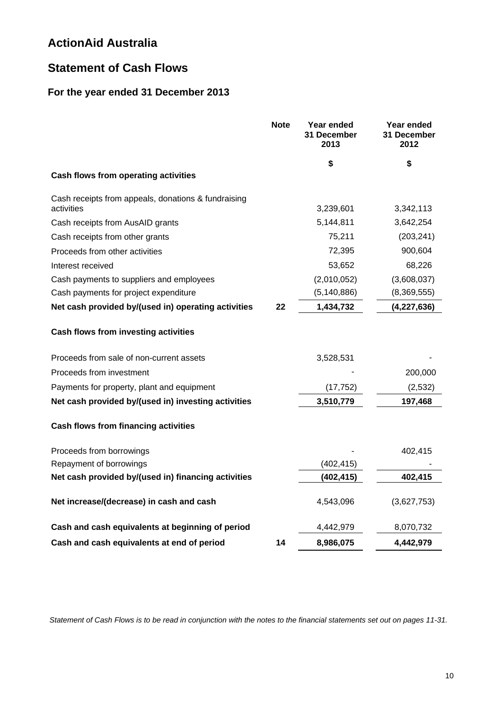# **Statement of Cash Flows**

# **For the year ended 31 December 2013**

|                                                                   | <b>Note</b> | Year ended<br>31 December<br>2013 | Year ended<br>31 December<br>2012 |
|-------------------------------------------------------------------|-------------|-----------------------------------|-----------------------------------|
|                                                                   |             | \$                                | \$                                |
| Cash flows from operating activities                              |             |                                   |                                   |
| Cash receipts from appeals, donations & fundraising<br>activities |             | 3,239,601                         | 3,342,113                         |
| Cash receipts from AusAID grants                                  |             | 5,144,811                         | 3,642,254                         |
| Cash receipts from other grants                                   |             | 75,211                            | (203, 241)                        |
| Proceeds from other activities                                    |             | 72,395                            | 900,604                           |
| Interest received                                                 |             | 53,652                            | 68,226                            |
| Cash payments to suppliers and employees                          |             | (2,010,052)                       | (3,608,037)                       |
| Cash payments for project expenditure                             |             | (5, 140, 886)                     | (8,369,555)                       |
| Net cash provided by/(used in) operating activities               | 22          | 1,434,732                         | (4,227,636)                       |
| <b>Cash flows from investing activities</b>                       |             |                                   |                                   |
| Proceeds from sale of non-current assets                          |             | 3,528,531                         |                                   |
| Proceeds from investment                                          |             |                                   | 200,000                           |
| Payments for property, plant and equipment                        |             | (17, 752)                         | (2, 532)                          |
| Net cash provided by/(used in) investing activities               |             | 3,510,779                         | 197,468                           |
| <b>Cash flows from financing activities</b>                       |             |                                   |                                   |
| Proceeds from borrowings                                          |             |                                   | 402,415                           |
| Repayment of borrowings                                           |             | (402, 415)                        |                                   |
| Net cash provided by/(used in) financing activities               |             | (402, 415)                        | 402,415                           |
| Net increase/(decrease) in cash and cash                          |             | 4,543,096                         | (3,627,753)                       |
| Cash and cash equivalents at beginning of period                  |             | 4,442,979                         | 8,070,732                         |
| Cash and cash equivalents at end of period                        | 14          | 8,986,075                         | 4,442,979                         |

*Statement of Cash Flows is to be read in conjunction with the notes to the financial statements set out on pages 11-31.*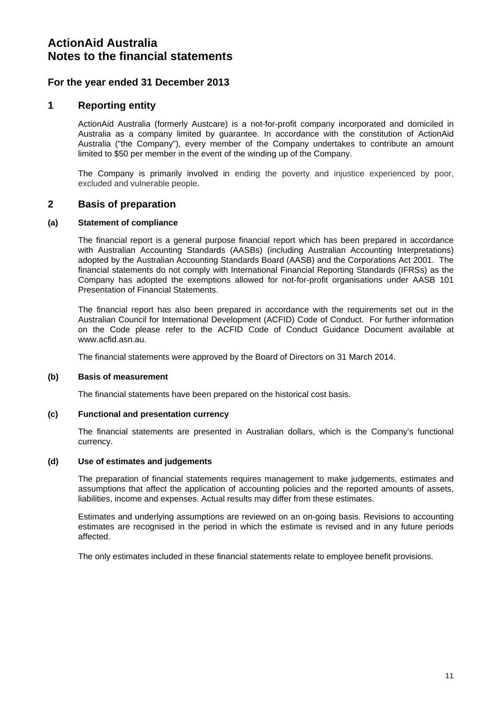### **For the year ended 31 December 2013**

### **1 Reporting entity**

ActionAid Australia (formerly Austcare) is a not-for-profit company incorporated and domiciled in Australia as a company limited by guarantee. In accordance with the constitution of ActionAid Australia ("the Company"), every member of the Company undertakes to contribute an amount limited to \$50 per member in the event of the winding up of the Company.

The Company is primarily involved in ending the poverty and injustice experienced by poor, excluded and vulnerable people.

#### **2 Basis of preparation**

#### **(a) Statement of compliance**

The financial report is a general purpose financial report which has been prepared in accordance with Australian Accounting Standards (AASBs) (including Australian Accounting Interpretations) adopted by the Australian Accounting Standards Board (AASB) and the Corporations Act 2001. The financial statements do not comply with International Financial Reporting Standards (IFRSs) as the Company has adopted the exemptions allowed for not-for-profit organisations under AASB 101 Presentation of Financial Statements.

The financial report has also been prepared in accordance with the requirements set out in the Australian Council for International Development (ACFID) Code of Conduct. For further information on the Code please refer to the ACFID Code of Conduct Guidance Document available at www.acfid.asn.au.

The financial statements were approved by the Board of Directors on 31 March 2014.

#### **(b) Basis of measurement**

The financial statements have been prepared on the historical cost basis.

#### **(c) Functional and presentation currency**

The financial statements are presented in Australian dollars, which is the Company's functional currency.

#### **(d) Use of estimates and judgements**

The preparation of financial statements requires management to make judgements, estimates and assumptions that affect the application of accounting policies and the reported amounts of assets, liabilities, income and expenses. Actual results may differ from these estimates.

Estimates and underlying assumptions are reviewed on an on-going basis. Revisions to accounting estimates are recognised in the period in which the estimate is revised and in any future periods affected.

The only estimates included in these financial statements relate to employee benefit provisions.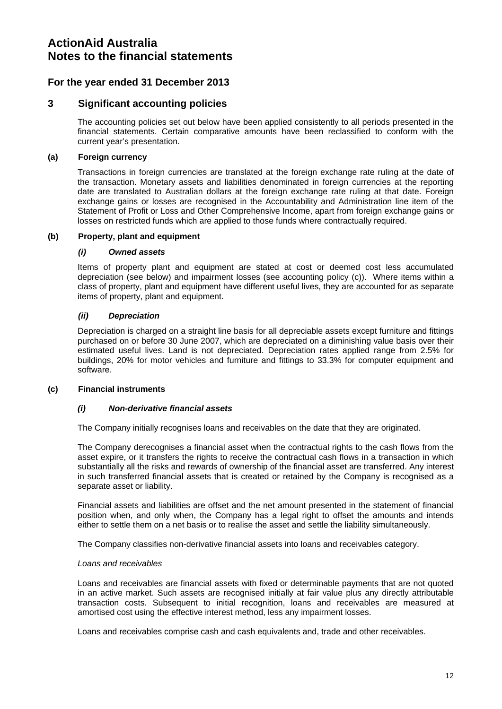### **For the year ended 31 December 2013**

### **3 Significant accounting policies**

The accounting policies set out below have been applied consistently to all periods presented in the financial statements. Certain comparative amounts have been reclassified to conform with the current year's presentation.

#### **(a) Foreign currency**

Transactions in foreign currencies are translated at the foreign exchange rate ruling at the date of the transaction. Monetary assets and liabilities denominated in foreign currencies at the reporting date are translated to Australian dollars at the foreign exchange rate ruling at that date. Foreign exchange gains or losses are recognised in the Accountability and Administration line item of the Statement of Profit or Loss and Other Comprehensive Income, apart from foreign exchange gains or losses on restricted funds which are applied to those funds where contractually required.

#### **(b) Property, plant and equipment**

#### *(i) Owned assets*

Items of property plant and equipment are stated at cost or deemed cost less accumulated depreciation (see below) and impairment losses (see accounting policy (c)). Where items within a class of property, plant and equipment have different useful lives, they are accounted for as separate items of property, plant and equipment.

#### *(ii) Depreciation*

Depreciation is charged on a straight line basis for all depreciable assets except furniture and fittings purchased on or before 30 June 2007, which are depreciated on a diminishing value basis over their estimated useful lives. Land is not depreciated. Depreciation rates applied range from 2.5% for buildings, 20% for motor vehicles and furniture and fittings to 33.3% for computer equipment and software.

#### **(c) Financial instruments**

#### *(i) Non-derivative financial assets*

The Company initially recognises loans and receivables on the date that they are originated.

The Company derecognises a financial asset when the contractual rights to the cash flows from the asset expire, or it transfers the rights to receive the contractual cash flows in a transaction in which substantially all the risks and rewards of ownership of the financial asset are transferred. Any interest in such transferred financial assets that is created or retained by the Company is recognised as a separate asset or liability.

Financial assets and liabilities are offset and the net amount presented in the statement of financial position when, and only when, the Company has a legal right to offset the amounts and intends either to settle them on a net basis or to realise the asset and settle the liability simultaneously.

The Company classifies non-derivative financial assets into loans and receivables category.

#### *Loans and receivables*

Loans and receivables are financial assets with fixed or determinable payments that are not quoted in an active market. Such assets are recognised initially at fair value plus any directly attributable transaction costs. Subsequent to initial recognition, loans and receivables are measured at amortised cost using the effective interest method, less any impairment losses.

Loans and receivables comprise cash and cash equivalents and, trade and other receivables.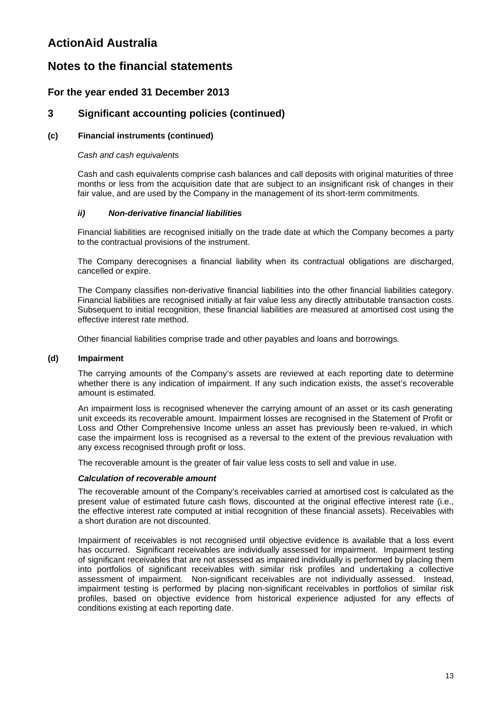# **Notes to the financial statements**

### **For the year ended 31 December 2013**

### **3 Significant accounting policies (continued)**

### **(c) Financial instruments (continued)**

#### *Cash and cash equivalents*

Cash and cash equivalents comprise cash balances and call deposits with original maturities of three months or less from the acquisition date that are subject to an insignificant risk of changes in their fair value, and are used by the Company in the management of its short-term commitments.

#### *ii) Non-derivative financial liabilities*

Financial liabilities are recognised initially on the trade date at which the Company becomes a party to the contractual provisions of the instrument.

The Company derecognises a financial liability when its contractual obligations are discharged, cancelled or expire.

The Company classifies non-derivative financial liabilities into the other financial liabilities category. Financial liabilities are recognised initially at fair value less any directly attributable transaction costs. Subsequent to initial recognition, these financial liabilities are measured at amortised cost using the effective interest rate method.

Other financial liabilities comprise trade and other payables and loans and borrowings.

#### **(d) Impairment**

The carrying amounts of the Company's assets are reviewed at each reporting date to determine whether there is any indication of impairment. If any such indication exists, the asset's recoverable amount is estimated.

An impairment loss is recognised whenever the carrying amount of an asset or its cash generating unit exceeds its recoverable amount. Impairment losses are recognised in the Statement of Profit or Loss and Other Comprehensive Income unless an asset has previously been re-valued, in which case the impairment loss is recognised as a reversal to the extent of the previous revaluation with any excess recognised through profit or loss.

The recoverable amount is the greater of fair value less costs to sell and value in use.

#### *Calculation of recoverable amount*

The recoverable amount of the Company's receivables carried at amortised cost is calculated as the present value of estimated future cash flows, discounted at the original effective interest rate (i.e., the effective interest rate computed at initial recognition of these financial assets). Receivables with a short duration are not discounted.

Impairment of receivables is not recognised until objective evidence is available that a loss event has occurred. Significant receivables are individually assessed for impairment. Impairment testing of significant receivables that are not assessed as impaired individually is performed by placing them into portfolios of significant receivables with similar risk profiles and undertaking a collective assessment of impairment. Non-significant receivables are not individually assessed. Instead, impairment testing is performed by placing non-significant receivables in portfolios of similar risk profiles, based on objective evidence from historical experience adjusted for any effects of conditions existing at each reporting date.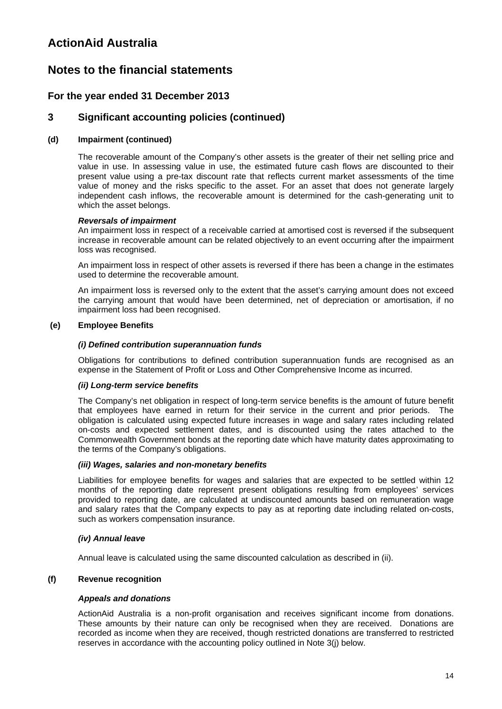# **Notes to the financial statements**

### **For the year ended 31 December 2013**

### **3 Significant accounting policies (continued)**

### **(d) Impairment (continued)**

The recoverable amount of the Company's other assets is the greater of their net selling price and value in use. In assessing value in use, the estimated future cash flows are discounted to their present value using a pre-tax discount rate that reflects current market assessments of the time value of money and the risks specific to the asset. For an asset that does not generate largely independent cash inflows, the recoverable amount is determined for the cash-generating unit to which the asset belongs.

#### *Reversals of impairment*

An impairment loss in respect of a receivable carried at amortised cost is reversed if the subsequent increase in recoverable amount can be related objectively to an event occurring after the impairment loss was recognised.

An impairment loss in respect of other assets is reversed if there has been a change in the estimates used to determine the recoverable amount.

An impairment loss is reversed only to the extent that the asset's carrying amount does not exceed the carrying amount that would have been determined, net of depreciation or amortisation, if no impairment loss had been recognised.

#### **(e) Employee Benefits**

#### *(i) Defined contribution superannuation funds*

Obligations for contributions to defined contribution superannuation funds are recognised as an expense in the Statement of Profit or Loss and Other Comprehensive Income as incurred.

#### *(ii) Long-term service benefits*

The Company's net obligation in respect of long-term service benefits is the amount of future benefit that employees have earned in return for their service in the current and prior periods. The obligation is calculated using expected future increases in wage and salary rates including related on-costs and expected settlement dates, and is discounted using the rates attached to the Commonwealth Government bonds at the reporting date which have maturity dates approximating to the terms of the Company's obligations.

#### *(iii) Wages, salaries and non-monetary benefits*

Liabilities for employee benefits for wages and salaries that are expected to be settled within 12 months of the reporting date represent present obligations resulting from employees' services provided to reporting date, are calculated at undiscounted amounts based on remuneration wage and salary rates that the Company expects to pay as at reporting date including related on-costs, such as workers compensation insurance.

#### *(iv) Annual leave*

Annual leave is calculated using the same discounted calculation as described in (ii).

#### **(f) Revenue recognition**

#### *Appeals and donations*

ActionAid Australia is a non-profit organisation and receives significant income from donations. These amounts by their nature can only be recognised when they are received. Donations are recorded as income when they are received, though restricted donations are transferred to restricted reserves in accordance with the accounting policy outlined in Note 3(j) below.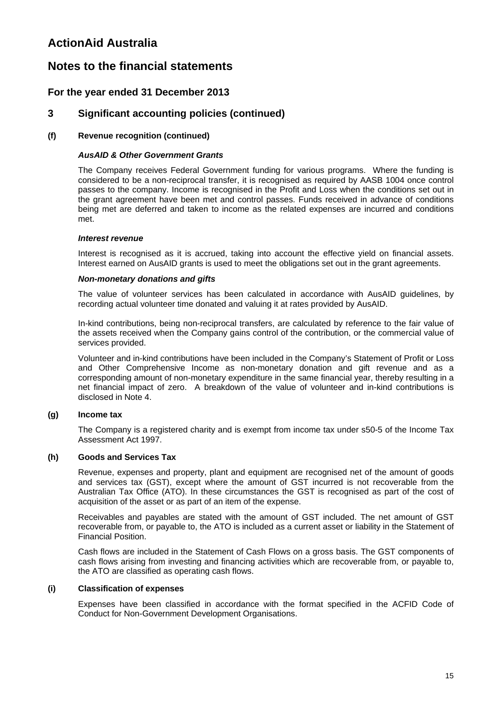# **Notes to the financial statements**

### **For the year ended 31 December 2013**

### **3 Significant accounting policies (continued)**

### **(f) Revenue recognition (continued)**

### *AusAID & Other Government Grants*

The Company receives Federal Government funding for various programs. Where the funding is considered to be a non-reciprocal transfer, it is recognised as required by AASB 1004 once control passes to the company. Income is recognised in the Profit and Loss when the conditions set out in the grant agreement have been met and control passes. Funds received in advance of conditions being met are deferred and taken to income as the related expenses are incurred and conditions met.

#### *Interest revenue*

Interest is recognised as it is accrued, taking into account the effective yield on financial assets. Interest earned on AusAID grants is used to meet the obligations set out in the grant agreements.

#### *Non-monetary donations and gifts*

The value of volunteer services has been calculated in accordance with AusAID guidelines, by recording actual volunteer time donated and valuing it at rates provided by AusAID.

In-kind contributions, being non-reciprocal transfers, are calculated by reference to the fair value of the assets received when the Company gains control of the contribution, or the commercial value of services provided.

Volunteer and in-kind contributions have been included in the Company's Statement of Profit or Loss and Other Comprehensive Income as non-monetary donation and gift revenue and as a corresponding amount of non-monetary expenditure in the same financial year, thereby resulting in a net financial impact of zero. A breakdown of the value of volunteer and in-kind contributions is disclosed in Note 4.

#### **(g) Income tax**

The Company is a registered charity and is exempt from income tax under s50-5 of the Income Tax Assessment Act 1997.

### **(h) Goods and Services Tax**

Revenue, expenses and property, plant and equipment are recognised net of the amount of goods and services tax (GST), except where the amount of GST incurred is not recoverable from the Australian Tax Office (ATO). In these circumstances the GST is recognised as part of the cost of acquisition of the asset or as part of an item of the expense.

Receivables and payables are stated with the amount of GST included. The net amount of GST recoverable from, or payable to, the ATO is included as a current asset or liability in the Statement of Financial Position.

Cash flows are included in the Statement of Cash Flows on a gross basis. The GST components of cash flows arising from investing and financing activities which are recoverable from, or payable to, the ATO are classified as operating cash flows.

#### **(i) Classification of expenses**

Expenses have been classified in accordance with the format specified in the ACFID Code of Conduct for Non-Government Development Organisations.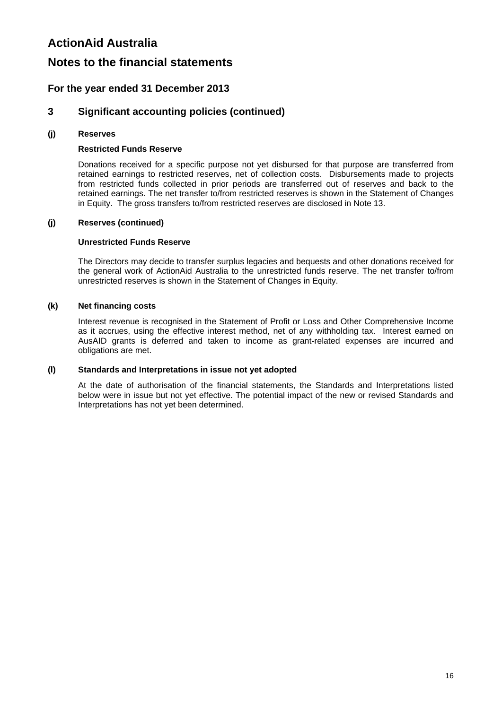# **Notes to the financial statements**

### **For the year ended 31 December 2013**

### **3 Significant accounting policies (continued)**

### **(j) Reserves**

### **Restricted Funds Reserve**

Donations received for a specific purpose not yet disbursed for that purpose are transferred from retained earnings to restricted reserves, net of collection costs. Disbursements made to projects from restricted funds collected in prior periods are transferred out of reserves and back to the retained earnings. The net transfer to/from restricted reserves is shown in the Statement of Changes in Equity. The gross transfers to/from restricted reserves are disclosed in Note 13.

#### **(j) Reserves (continued)**

#### **Unrestricted Funds Reserve**

The Directors may decide to transfer surplus legacies and bequests and other donations received for the general work of ActionAid Australia to the unrestricted funds reserve. The net transfer to/from unrestricted reserves is shown in the Statement of Changes in Equity.

### **(k) Net financing costs**

Interest revenue is recognised in the Statement of Profit or Loss and Other Comprehensive Income as it accrues, using the effective interest method, net of any withholding tax. Interest earned on AusAID grants is deferred and taken to income as grant-related expenses are incurred and obligations are met.

#### **(l) Standards and Interpretations in issue not yet adopted**

At the date of authorisation of the financial statements, the Standards and Interpretations listed below were in issue but not yet effective. The potential impact of the new or revised Standards and Interpretations has not yet been determined.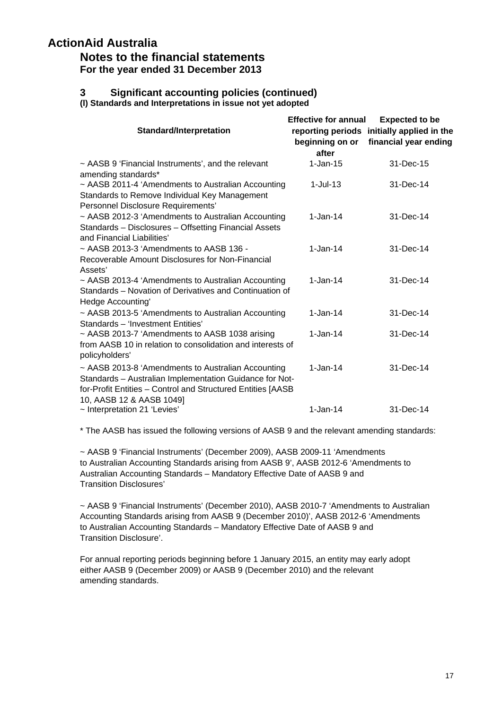### **Notes to the financial statements For the year ended 31 December 2013**

# **3 Significant accounting policies (continued)**

**(l) Standards and Interpretations in issue not yet adopted** 

|                                                                                                                                                                                                          | <b>Effective for annual</b> | <b>Expected to be</b>                      |
|----------------------------------------------------------------------------------------------------------------------------------------------------------------------------------------------------------|-----------------------------|--------------------------------------------|
| <b>Standard/Interpretation</b>                                                                                                                                                                           |                             | reporting periods initially applied in the |
|                                                                                                                                                                                                          | beginning on or             | financial year ending                      |
|                                                                                                                                                                                                          | after                       |                                            |
| ~ AASB 9 'Financial Instruments', and the relevant<br>amending standards*                                                                                                                                | $1-Jan-15$                  | 31-Dec-15                                  |
| ~ AASB 2011-4 'Amendments to Australian Accounting<br>Standards to Remove Individual Key Management<br>Personnel Disclosure Requirements'                                                                | $1$ -Jul-13                 | 31-Dec-14                                  |
| ~ AASB 2012-3 'Amendments to Australian Accounting<br>Standards - Disclosures - Offsetting Financial Assets<br>and Financial Liabilities'                                                                | $1 - Jan - 14$              | 31-Dec-14                                  |
| $\sim$ AASB 2013-3 'Amendments to AASB 136 -<br>Recoverable Amount Disclosures for Non-Financial<br>Assets'                                                                                              | $1 - Jan-14$                | 31-Dec-14                                  |
| ~ AASB 2013-4 'Amendments to Australian Accounting<br>Standards – Novation of Derivatives and Continuation of<br>Hedge Accounting'                                                                       | $1 - Jan-14$                | 31-Dec-14                                  |
| $\sim$ AASB 2013-5 'Amendments to Australian Accounting<br>Standards - 'Investment Entities'                                                                                                             | $1 - Jan-14$                | 31-Dec-14                                  |
| ~ AASB 2013-7 'Amendments to AASB 1038 arising<br>from AASB 10 in relation to consolidation and interests of<br>policyholders'                                                                           | $1 - Jan-14$                | 31-Dec-14                                  |
| ~ AASB 2013-8 'Amendments to Australian Accounting<br>Standards - Australian Implementation Guidance for Not-<br>for-Profit Entities - Control and Structured Entities [AASB<br>10, AASB 12 & AASB 1049] | $1 - Jan-14$                | 31-Dec-14                                  |
| ~ Interpretation 21 'Levies'                                                                                                                                                                             | $1 - Jan - 14$              | 31-Dec-14                                  |

\* The AASB has issued the following versions of AASB 9 and the relevant amending standards:

~ AASB 9 'Financial Instruments' (December 2009), AASB 2009-11 'Amendments to Australian Accounting Standards arising from AASB 9', AASB 2012-6 'Amendments to Australian Accounting Standards – Mandatory Effective Date of AASB 9 and Transition Disclosures'

~ AASB 9 'Financial Instruments' (December 2010), AASB 2010-7 'Amendments to Australian Accounting Standards arising from AASB 9 (December 2010)', AASB 2012-6 'Amendments to Australian Accounting Standards – Mandatory Effective Date of AASB 9 and Transition Disclosure'.

For annual reporting periods beginning before 1 January 2015, an entity may early adopt either AASB 9 (December 2009) or AASB 9 (December 2010) and the relevant amending standards.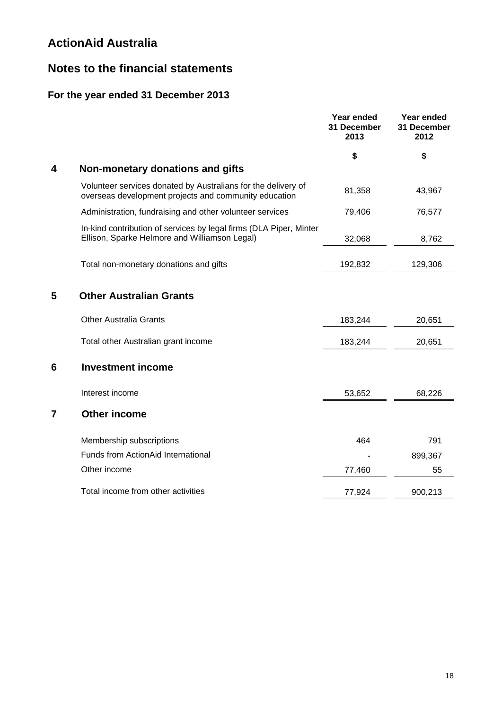# **Notes to the financial statements**

# **For the year ended 31 December 2013**

|                |                                                                                                                        | Year ended<br>31 December<br>2013 | Year ended<br>31 December<br>2012 |
|----------------|------------------------------------------------------------------------------------------------------------------------|-----------------------------------|-----------------------------------|
|                |                                                                                                                        | \$                                | \$                                |
| 4              | Non-monetary donations and gifts                                                                                       |                                   |                                   |
|                | Volunteer services donated by Australians for the delivery of<br>overseas development projects and community education | 81,358                            | 43,967                            |
|                | Administration, fundraising and other volunteer services                                                               | 79,406                            | 76,577                            |
|                | In-kind contribution of services by legal firms (DLA Piper, Minter<br>Ellison, Sparke Helmore and Williamson Legal)    | 32,068                            | 8,762                             |
|                | Total non-monetary donations and gifts                                                                                 | 192,832                           | 129,306                           |
| 5              | <b>Other Australian Grants</b>                                                                                         |                                   |                                   |
|                | <b>Other Australia Grants</b>                                                                                          | 183,244                           | 20,651                            |
|                | Total other Australian grant income                                                                                    | 183,244                           | 20,651                            |
| 6              | <b>Investment income</b>                                                                                               |                                   |                                   |
|                | Interest income                                                                                                        | 53,652                            | 68,226                            |
| $\overline{7}$ | <b>Other income</b>                                                                                                    |                                   |                                   |
|                | Membership subscriptions                                                                                               | 464                               | 791                               |
|                | Funds from ActionAid International                                                                                     |                                   | 899,367                           |
|                | Other income                                                                                                           | 77,460                            | 55                                |
|                | Total income from other activities                                                                                     | 77,924                            | 900,213                           |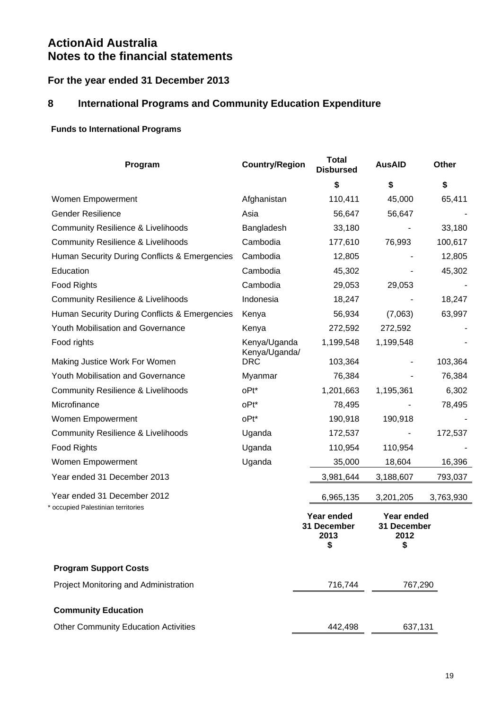# **For the year ended 31 December 2013**

# **8 International Programs and Community Education Expenditure**

## **Funds to International Programs**

| Program                                       | <b>Country/Region</b>         | <b>Total</b><br><b>Disbursed</b>        | <b>AusAID</b>                           | Other     |
|-----------------------------------------------|-------------------------------|-----------------------------------------|-----------------------------------------|-----------|
|                                               |                               | \$                                      | \$                                      | \$        |
| Women Empowerment                             | Afghanistan                   | 110,411                                 | 45,000                                  | 65,411    |
| <b>Gender Resilience</b>                      | Asia                          | 56,647                                  | 56,647                                  |           |
| <b>Community Resilience &amp; Livelihoods</b> | Bangladesh                    | 33,180                                  |                                         | 33,180    |
| <b>Community Resilience &amp; Livelihoods</b> | Cambodia                      | 177,610                                 | 76,993                                  | 100,617   |
| Human Security During Conflicts & Emergencies | Cambodia                      | 12,805                                  |                                         | 12,805    |
| Education                                     | Cambodia                      | 45,302                                  |                                         | 45,302    |
| <b>Food Rights</b>                            | Cambodia                      | 29,053                                  | 29,053                                  |           |
| <b>Community Resilience &amp; Livelihoods</b> | Indonesia                     | 18,247                                  |                                         | 18,247    |
| Human Security During Conflicts & Emergencies | Kenya                         | 56,934                                  | (7,063)                                 | 63,997    |
| Youth Mobilisation and Governance             | Kenya                         | 272,592                                 | 272,592                                 |           |
| Food rights                                   | Kenya/Uganda<br>Kenya/Uganda/ | 1,199,548                               | 1,199,548                               |           |
| Making Justice Work For Women                 | <b>DRC</b>                    | 103,364                                 |                                         | 103,364   |
| Youth Mobilisation and Governance             | Myanmar                       | 76,384                                  |                                         | 76,384    |
| <b>Community Resilience &amp; Livelihoods</b> | oPt*                          | 1,201,663                               | 1,195,361                               | 6,302     |
| Microfinance                                  | oPt*                          | 78,495                                  |                                         | 78,495    |
| Women Empowerment                             | oPt*                          | 190,918                                 | 190,918                                 |           |
| <b>Community Resilience &amp; Livelihoods</b> | Uganda                        | 172,537                                 |                                         | 172,537   |
| Food Rights                                   | Uganda                        | 110,954                                 | 110,954                                 |           |
| Women Empowerment                             | Uganda                        | 35,000                                  | 18,604                                  | 16,396    |
| Year ended 31 December 2013                   |                               | 3,981,644                               | 3,188,607                               | 793,037   |
| Year ended 31 December 2012                   |                               | 6,965,135                               | 3,201,205                               | 3,763,930 |
| * occupied Palestinian territories            |                               | Year ended<br>31 December<br>2013<br>\$ | Year ended<br>31 December<br>2012<br>\$ |           |
| <b>Program Support Costs</b>                  |                               |                                         |                                         |           |
| Project Monitoring and Administration         |                               | 716,744                                 | 767,290                                 |           |
| <b>Community Education</b>                    |                               |                                         |                                         |           |
| <b>Other Community Education Activities</b>   |                               | 442,498                                 | 637,131                                 |           |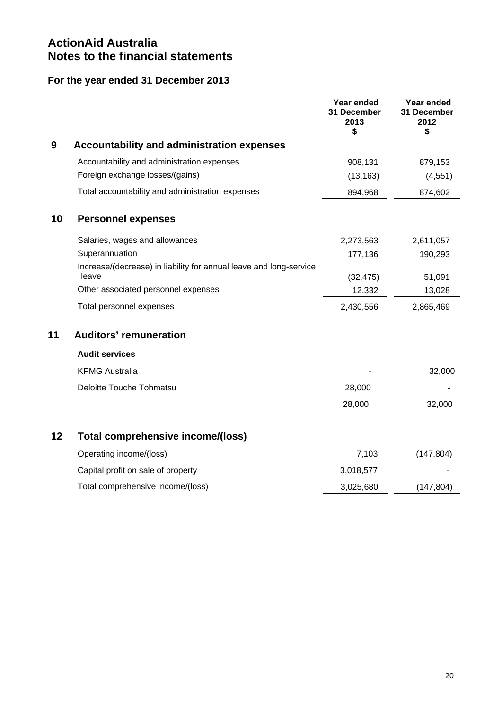# **For the year ended 31 December 2013**

|    |                                                                             | Year ended<br>31 December<br>2013<br>\$ | Year ended<br>31 December<br>2012<br>\$ |
|----|-----------------------------------------------------------------------------|-----------------------------------------|-----------------------------------------|
| 9  | <b>Accountability and administration expenses</b>                           |                                         |                                         |
|    | Accountability and administration expenses                                  | 908,131                                 | 879,153                                 |
|    | Foreign exchange losses/(gains)                                             | (13, 163)                               | (4, 551)                                |
|    | Total accountability and administration expenses                            | 894,968                                 | 874,602                                 |
| 10 | <b>Personnel expenses</b>                                                   |                                         |                                         |
|    | Salaries, wages and allowances                                              | 2,273,563                               | 2,611,057                               |
|    | Superannuation                                                              | 177,136                                 | 190,293                                 |
|    | Increase/(decrease) in liability for annual leave and long-service<br>leave | (32, 475)                               | 51,091                                  |
|    | Other associated personnel expenses                                         | 12,332                                  | 13,028                                  |
|    | Total personnel expenses                                                    | 2,430,556                               | 2,865,469                               |
| 11 | <b>Auditors' remuneration</b>                                               |                                         |                                         |
|    | <b>Audit services</b>                                                       |                                         |                                         |
|    | <b>KPMG Australia</b>                                                       |                                         | 32,000                                  |
|    | Deloitte Touche Tohmatsu                                                    | 28,000                                  |                                         |
|    |                                                                             | 28,000                                  | 32,000                                  |
| 12 | Total comprehensive income/(loss)                                           |                                         |                                         |
|    | Operating income/(loss)                                                     | 7,103                                   | (147, 804)                              |
|    | Capital profit on sale of property                                          | 3,018,577                               |                                         |
|    | Total comprehensive income/(loss)                                           | 3,025,680                               | (147, 804)                              |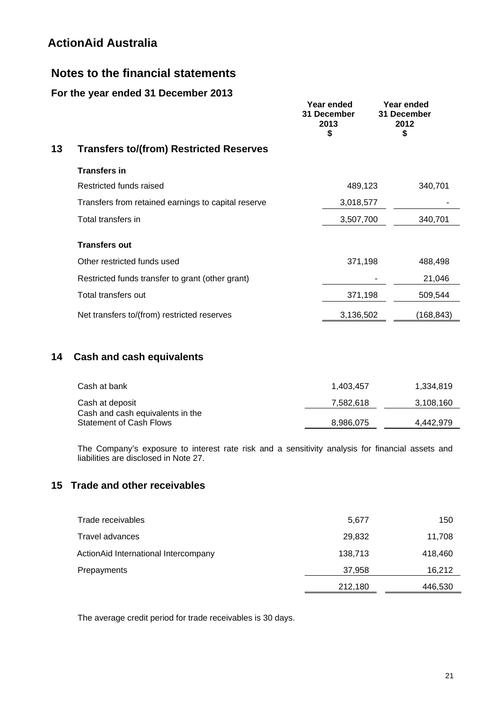# **Notes to the financial statements**

## **For the year ended 31 December 2013**

|    |                                                     | Year ended<br>31 December<br>2013<br>\$ | Year ended<br>31 December<br>2012<br>\$ |
|----|-----------------------------------------------------|-----------------------------------------|-----------------------------------------|
| 13 | <b>Transfers to/(from) Restricted Reserves</b>      |                                         |                                         |
|    | <b>Transfers in</b>                                 |                                         |                                         |
|    | Restricted funds raised                             | 489,123                                 | 340,701                                 |
|    | Transfers from retained earnings to capital reserve | 3,018,577                               |                                         |
|    | Total transfers in                                  | 3,507,700                               | 340,701                                 |
|    | <b>Transfers out</b>                                |                                         |                                         |
|    | Other restricted funds used                         | 371,198                                 | 488,498                                 |
|    | Restricted funds transfer to grant (other grant)    |                                         | 21,046                                  |
|    | Total transfers out                                 | 371,198                                 | 509,544                                 |
|    | Net transfers to/(from) restricted reserves         | 3,136,502                               | (168,843)                               |

# **14 Cash and cash equivalents**

| Cash at bank                     | 1.403.457 | 1.334.819 |
|----------------------------------|-----------|-----------|
| Cash at deposit                  | 7,582,618 | 3,108,160 |
| Cash and cash equivalents in the |           |           |
| <b>Statement of Cash Flows</b>   | 8,986,075 | 4.442.979 |

The Company's exposure to interest rate risk and a sensitivity analysis for financial assets and liabilities are disclosed in Note 27.

# **15 Trade and other receivables**

| Trade receivables                    | 5,677   | 150     |
|--------------------------------------|---------|---------|
| Travel advances                      | 29,832  | 11,708  |
| ActionAid International Intercompany | 138,713 | 418,460 |
| Prepayments                          | 37,958  | 16,212  |
|                                      | 212,180 | 446,530 |

The average credit period for trade receivables is 30 days.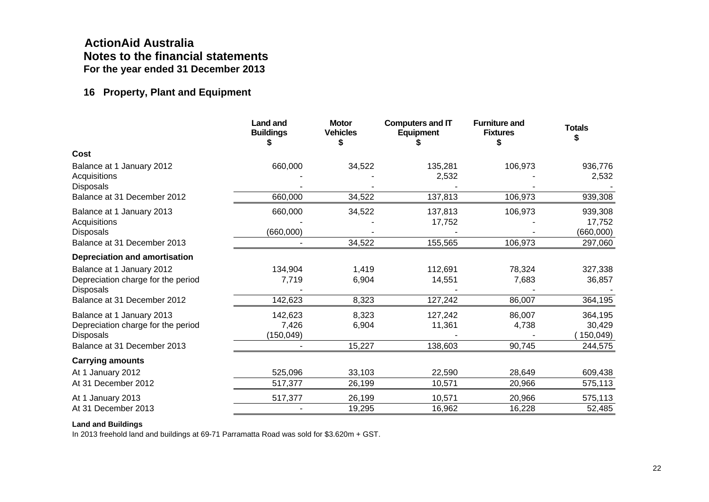# **ActionAid Australia Notes to the financial statements For the year ended 31 December 2013**

## **16 Property, Plant and Equipment**

|                                                                                                                    | <b>Land and</b><br><b>Buildings</b> | <b>Motor</b><br><b>Vehicles</b> | <b>Computers and IT</b><br><b>Equipment</b> | <b>Furniture and</b><br><b>Fixtures</b> | <b>Totals</b>                             |
|--------------------------------------------------------------------------------------------------------------------|-------------------------------------|---------------------------------|---------------------------------------------|-----------------------------------------|-------------------------------------------|
| Cost                                                                                                               |                                     |                                 |                                             |                                         |                                           |
| Balance at 1 January 2012<br>Acquisitions<br>Disposals                                                             | 660,000                             | 34,522                          | 135,281<br>2,532                            | 106,973                                 | 936,776<br>2,532                          |
| Balance at 31 December 2012                                                                                        | 660,000                             | 34,522                          | 137,813                                     | 106,973                                 | 939,308                                   |
| Balance at 1 January 2013<br>Acquisitions<br><b>Disposals</b><br>Balance at 31 December 2013                       | 660,000<br>(660,000)                | 34,522<br>34,522                | 137,813<br>17,752<br>155,565                | 106,973<br>106,973                      | 939,308<br>17,752<br>(660,000)<br>297,060 |
| <b>Depreciation and amortisation</b>                                                                               |                                     |                                 |                                             |                                         |                                           |
| Balance at 1 January 2012<br>Depreciation charge for the period<br><b>Disposals</b>                                | 134,904<br>7,719                    | 1,419<br>6,904                  | 112,691<br>14,551                           | 78,324<br>7,683                         | 327,338<br>36,857                         |
| Balance at 31 December 2012                                                                                        | 142,623                             | 8,323                           | 127,242                                     | 86,007                                  | 364,195                                   |
| Balance at 1 January 2013<br>Depreciation charge for the period<br><b>Disposals</b><br>Balance at 31 December 2013 | 142,623<br>7,426<br>(150, 049)      | 8,323<br>6,904<br>15,227        | 127,242<br>11,361<br>138,603                | 86,007<br>4,738<br>90,745               | 364,195<br>30,429<br>150,049)<br>244,575  |
| <b>Carrying amounts</b>                                                                                            |                                     |                                 |                                             |                                         |                                           |
| At 1 January 2012<br>At 31 December 2012                                                                           | 525,096<br>517,377                  | 33,103<br>26,199                | 22,590<br>10,571                            | 28,649<br>20,966                        | 609,438<br>575,113                        |
| At 1 January 2013<br>At 31 December 2013                                                                           | 517,377                             | 26,199<br>19,295                | 10,571<br>16,962                            | 20,966<br>16,228                        | 575,113<br>52,485                         |

#### **Land and Buildings**

In 2013 freehold land and buildings at 69-71 Parramatta Road was sold for \$3.620m + GST.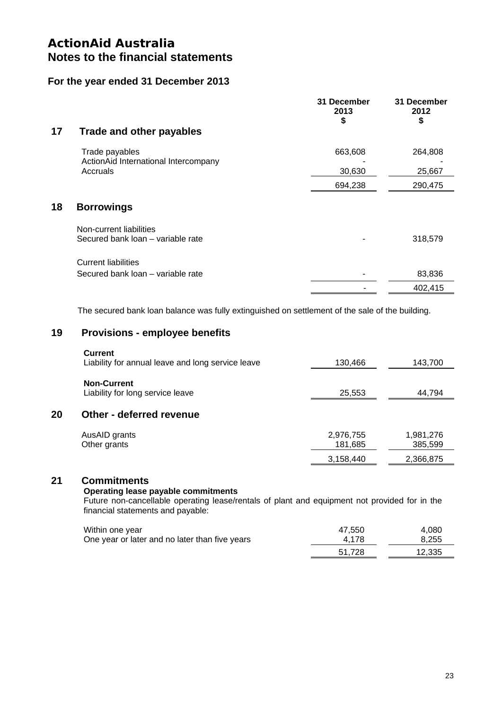### **For the year ended 31 December 2013**

| 17 | <b>Trade and other payables</b>                  | 31 December<br>2013<br>\$ | 31 December<br>2012<br>\$ |
|----|--------------------------------------------------|---------------------------|---------------------------|
|    | Trade payables                                   | 663,608                   | 264,808                   |
|    | ActionAid International Intercompany<br>Accruals | 30,630                    | 25,667                    |
|    |                                                  | 694,238                   | 290,475                   |
| 18 | <b>Borrowings</b>                                |                           |                           |
|    | Non-current liabilities                          |                           |                           |
|    | Secured bank loan - variable rate                |                           | 318,579                   |
|    | <b>Current liabilities</b>                       |                           |                           |
|    | Secured bank loan - variable rate                |                           | 83,836                    |
|    |                                                  |                           | 402,415                   |

The secured bank loan balance was fully extinguished on settlement of the sale of the building.

### **19 Provisions - employee benefits**

|    | <b>Current</b><br>Liability for annual leave and long service leave | 130,466              | 143,700              |
|----|---------------------------------------------------------------------|----------------------|----------------------|
|    | <b>Non-Current</b><br>Liability for long service leave              | 25,553               | 44,794               |
| 20 | Other - deferred revenue                                            |                      |                      |
|    | AusAID grants<br>Other grants                                       | 2,976,755<br>181,685 | 1,981,276<br>385,599 |
|    |                                                                     | 3,158,440            | 2,366,875            |

### **21 Commitments**

### **Operating lease payable commitments**

Future non-cancellable operating lease/rentals of plant and equipment not provided for in the financial statements and payable:

| Within one year                                | 47.550 | 4.080  |
|------------------------------------------------|--------|--------|
| One year or later and no later than five years | 4.178  | 8.255  |
|                                                | 51.728 | 12.335 |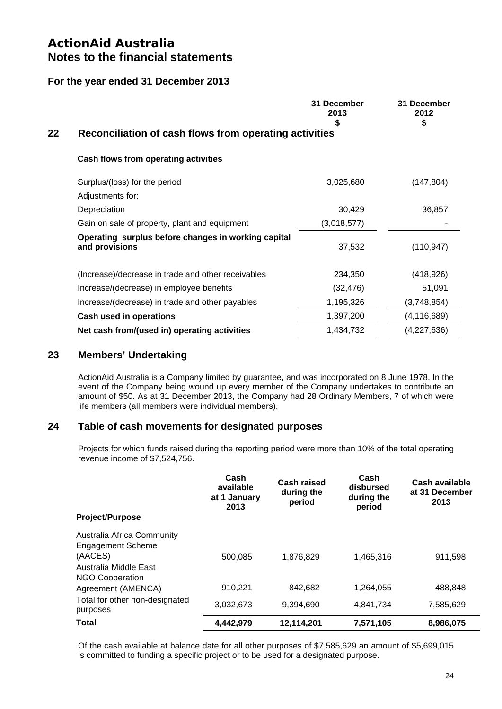### **For the year ended 31 December 2013**

|    |                                                                       | 31 December<br>2013<br>\$ | 31 December<br>2012<br>\$ |
|----|-----------------------------------------------------------------------|---------------------------|---------------------------|
| 22 | Reconciliation of cash flows from operating activities                |                           |                           |
|    | <b>Cash flows from operating activities</b>                           |                           |                           |
|    | Surplus/(loss) for the period                                         | 3,025,680                 | (147, 804)                |
|    | Adjustments for:                                                      |                           |                           |
|    | Depreciation                                                          | 30,429                    | 36,857                    |
|    | Gain on sale of property, plant and equipment                         | (3,018,577)               |                           |
|    | Operating surplus before changes in working capital<br>and provisions | 37,532                    | (110, 947)                |
|    | (Increase)/decrease in trade and other receivables                    | 234,350                   | (418, 926)                |
|    | Increase/(decrease) in employee benefits                              | (32, 476)                 | 51,091                    |
|    | Increase/(decrease) in trade and other payables                       | 1,195,326                 | (3,748,854)               |
|    | Cash used in operations                                               | 1,397,200                 | (4, 116, 689)             |
|    | Net cash from/(used in) operating activities                          | 1,434,732                 | (4,227,636)               |

### **23 Members' Undertaking**

ActionAid Australia is a Company limited by guarantee, and was incorporated on 8 June 1978. In the event of the Company being wound up every member of the Company undertakes to contribute an amount of \$50. As at 31 December 2013, the Company had 28 Ordinary Members, 7 of which were life members (all members were individual members).

### **24 Table of cash movements for designated purposes**

Projects for which funds raised during the reporting period were more than 10% of the total operating revenue income of \$7,524,756.

| <b>Project/Purpose</b>                                                                                               | Cash<br>available<br>at 1 January<br>2013 | Cash raised<br>during the<br>period | Cash<br>disbursed<br>during the<br>period | Cash available<br>at 31 December<br>2013 |
|----------------------------------------------------------------------------------------------------------------------|-------------------------------------------|-------------------------------------|-------------------------------------------|------------------------------------------|
| Australia Africa Community<br><b>Engagement Scheme</b><br>(AACES)<br>Australia Middle East<br><b>NGO Cooperation</b> | 500.085                                   | 1.876.829                           | 1,465,316                                 | 911,598                                  |
| Agreement (AMENCA)                                                                                                   | 910,221                                   | 842,682                             | 1,264,055                                 | 488,848                                  |
| Total for other non-designated<br>purposes                                                                           | 3,032,673                                 | 9.394.690                           | 4,841,734                                 | 7,585,629                                |
| <b>Total</b>                                                                                                         | 4,442,979                                 | 12,114,201                          | 7,571,105                                 | 8,986,075                                |

Of the cash available at balance date for all other purposes of \$7,585,629 an amount of \$5,699,015 is committed to funding a specific project or to be used for a designated purpose.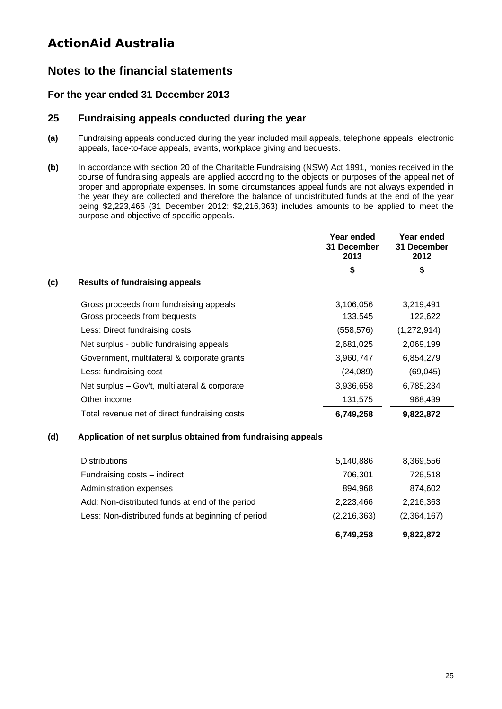# **Notes to the financial statements**

### **For the year ended 31 December 2013**

### **25 Fundraising appeals conducted during the year**

- **(a)** Fundraising appeals conducted during the year included mail appeals, telephone appeals, electronic appeals, face-to-face appeals, events, workplace giving and bequests.
- **(b)** In accordance with section 20 of the Charitable Fundraising (NSW) Act 1991, monies received in the course of fundraising appeals are applied according to the objects or purposes of the appeal net of proper and appropriate expenses. In some circumstances appeal funds are not always expended in the year they are collected and therefore the balance of undistributed funds at the end of the year being \$2,223,466 (31 December 2012: \$2,216,363) includes amounts to be applied to meet the purpose and objective of specific appeals.

|     |                                               | Year ended<br>31 December<br>2013 | Year ended<br>31 December<br>2012 |
|-----|-----------------------------------------------|-----------------------------------|-----------------------------------|
|     |                                               | \$                                | \$                                |
| (c) | <b>Results of fundraising appeals</b>         |                                   |                                   |
|     | Gross proceeds from fundraising appeals       | 3,106,056                         | 3,219,491                         |
|     | Gross proceeds from bequests                  | 133,545                           | 122,622                           |
|     | Less: Direct fundraising costs                | (558, 576)                        | (1,272,914)                       |
|     | Net surplus - public fundraising appeals      | 2,681,025                         | 2,069,199                         |
|     | Government, multilateral & corporate grants   | 3,960,747                         | 6,854,279                         |
|     | Less: fundraising cost                        | (24,089)                          | (69, 045)                         |
|     | Net surplus - Gov't, multilateral & corporate | 3,936,658                         | 6,785,234                         |
|     | Other income                                  | 131,575                           | 968,439                           |
|     | Total revenue net of direct fundraising costs | 6,749,258                         | 9,822,872                         |

### **(d) Application of net surplus obtained from fundraising appeals**

|                                                    | 6,749,258   | 9,822,872   |
|----------------------------------------------------|-------------|-------------|
| Less: Non-distributed funds at beginning of period | (2,216,363) | (2,364,167) |
| Add: Non-distributed funds at end of the period    | 2,223,466   | 2,216,363   |
| Administration expenses                            | 894.968     | 874,602     |
| Fundraising costs - indirect                       | 706,301     | 726.518     |
| <b>Distributions</b>                               | 5,140,886   | 8,369,556   |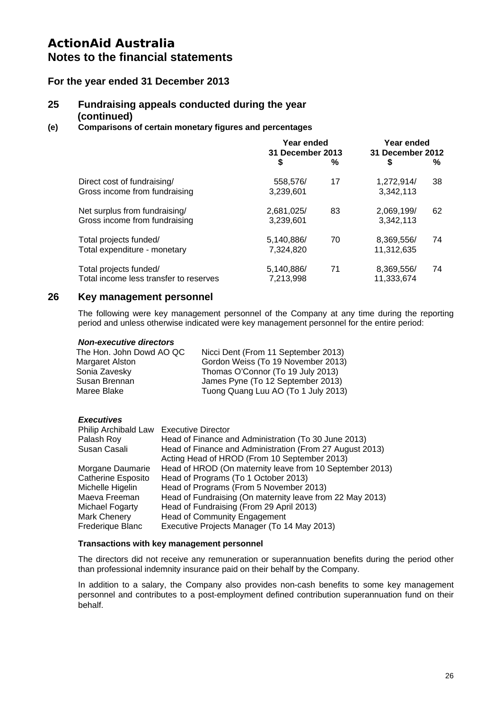### **For the year ended 31 December 2013**

### **25 Fundraising appeals conducted during the year (continued)**

#### **(e) Comparisons of certain monetary figures and percentages**

|            | Year ended<br>31 December 2013 |            |                                |
|------------|--------------------------------|------------|--------------------------------|
| \$         | %                              | \$         | ℅                              |
| 558,576/   | 17                             | 1,272,914/ | 38                             |
| 3,239,601  |                                | 3,342,113  |                                |
| 2,681,025/ | 83                             | 2,069,199/ | 62                             |
| 3,239,601  |                                | 3,342,113  |                                |
| 5,140,886/ | 70                             | 8,369,556/ | 74                             |
| 7.324.820  |                                | 11,312,635 |                                |
| 5,140,886/ | 71                             | 8,369,556/ | 74                             |
| 7,213,998  |                                | 11,333,674 |                                |
|            |                                |            | Year ended<br>31 December 2012 |

### **26 Key management personnel**

The following were key management personnel of the Company at any time during the reporting period and unless otherwise indicated were key management personnel for the entire period:

#### *Non-executive directors*

| The Hon. John Dowd AO QC | Nicci Dent (From 11 September 2013) |
|--------------------------|-------------------------------------|
| Margaret Alston          | Gordon Weiss (To 19 November 2013)  |
| Sonia Zavesky            | Thomas O'Connor (To 19 July 2013)   |
| Susan Brennan            | James Pyne (To 12 September 2013)   |
| Maree Blake              | Tuong Quang Luu AO (To 1 July 2013) |

#### *Executives*

| Philip Archibald Law Executive Director |                                                           |
|-----------------------------------------|-----------------------------------------------------------|
| Palash Roy                              | Head of Finance and Administration (To 30 June 2013)      |
| Susan Casali                            | Head of Finance and Administration (From 27 August 2013)  |
|                                         | Acting Head of HROD (From 10 September 2013)              |
| Morgane Daumarie                        | Head of HROD (On maternity leave from 10 September 2013)  |
| <b>Catherine Esposito</b>               | Head of Programs (To 1 October 2013)                      |
| Michelle Higelin                        | Head of Programs (From 5 November 2013)                   |
| Maeva Freeman                           | Head of Fundraising (On maternity leave from 22 May 2013) |
| Michael Fogarty                         | Head of Fundraising (From 29 April 2013)                  |
| <b>Mark Chenery</b>                     | <b>Head of Community Engagement</b>                       |
| Frederique Blanc                        | Executive Projects Manager (To 14 May 2013)               |

#### **Transactions with key management personnel**

The directors did not receive any remuneration or superannuation benefits during the period other than professional indemnity insurance paid on their behalf by the Company.

In addition to a salary, the Company also provides non-cash benefits to some key management personnel and contributes to a post-employment defined contribution superannuation fund on their behalf.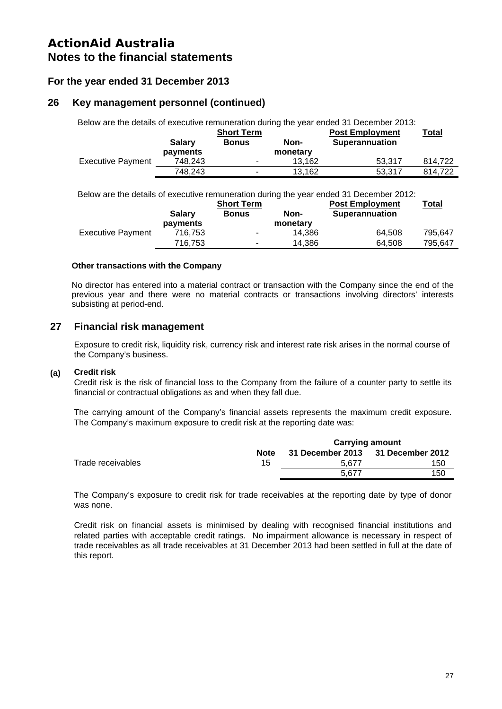### **For the year ended 31 December 2013**

### **26 Key management personnel (continued)**

|                          |               |                          |          | Below are the details of executive remuneration during the year ended 31 December 2013: |              |
|--------------------------|---------------|--------------------------|----------|-----------------------------------------------------------------------------------------|--------------|
|                          |               | <b>Short Term</b>        |          | <b>Post Employment</b>                                                                  | <u>Total</u> |
|                          | <b>Salary</b> | <b>Bonus</b>             | Non-     | <b>Superannuation</b>                                                                   |              |
|                          | payments      |                          | monetary |                                                                                         |              |
| <b>Executive Payment</b> | 748.243       | ۰                        | 13.162   | 53.317                                                                                  | 814.722      |
|                          | 748.243       | $\overline{\phantom{0}}$ | 13.162   | 53.317                                                                                  | 814.722      |

Below are the details of executive remuneration during the year ended 31 December 2012:

|                          |                           | <b>Short Term</b>        |                  | <b>Post Employment</b> | <b>Total</b> |
|--------------------------|---------------------------|--------------------------|------------------|------------------------|--------------|
|                          | <b>Salary</b><br>payments | <b>Bonus</b>             | Non-<br>monetary | <b>Superannuation</b>  |              |
| <b>Executive Payment</b> | 716.753                   | $\overline{\phantom{0}}$ | 14.386           | 64.508                 | 795.647      |
|                          | 716.753                   | $\overline{\phantom{a}}$ | 14.386           | 64.508                 | 795.647      |

### **Other transactions with the Company**

No director has entered into a material contract or transaction with the Company since the end of the previous year and there were no material contracts or transactions involving directors' interests subsisting at period-end.

### **27 Financial risk management**

Exposure to credit risk, liquidity risk, currency risk and interest rate risk arises in the normal course of the Company's business.

#### **(a) Credit risk**

Credit risk is the risk of financial loss to the Company from the failure of a counter party to settle its financial or contractual obligations as and when they fall due.

The carrying amount of the Company's financial assets represents the maximum credit exposure. The Company's maximum exposure to credit risk at the reporting date was:

|                   |             | <b>Carrying amount</b>            |     |  |  |
|-------------------|-------------|-----------------------------------|-----|--|--|
|                   | <b>Note</b> | 31 December 2013 31 December 2012 |     |  |  |
| Trade receivables | 15          | 5.677                             | 150 |  |  |
|                   |             | 5.677                             | 150 |  |  |

The Company's exposure to credit risk for trade receivables at the reporting date by type of donor was none.

Credit risk on financial assets is minimised by dealing with recognised financial institutions and related parties with acceptable credit ratings. No impairment allowance is necessary in respect of trade receivables as all trade receivables at 31 December 2013 had been settled in full at the date of this report.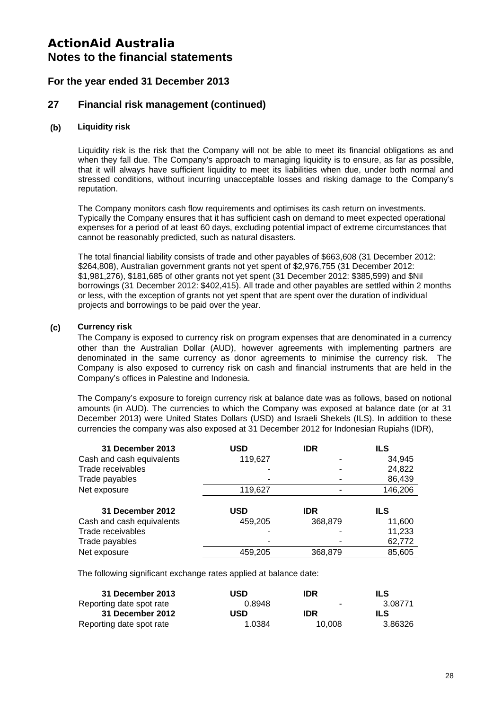### **For the year ended 31 December 2013**

### **27 Financial risk management (continued)**

#### **(b) Liquidity risk**

Liquidity risk is the risk that the Company will not be able to meet its financial obligations as and when they fall due. The Company's approach to managing liquidity is to ensure, as far as possible, that it will always have sufficient liquidity to meet its liabilities when due, under both normal and stressed conditions, without incurring unacceptable losses and risking damage to the Company's reputation.

The Company monitors cash flow requirements and optimises its cash return on investments. Typically the Company ensures that it has sufficient cash on demand to meet expected operational expenses for a period of at least 60 days, excluding potential impact of extreme circumstances that cannot be reasonably predicted, such as natural disasters.

The total financial liability consists of trade and other payables of \$663,608 (31 December 2012: \$264,808), Australian government grants not yet spent of \$2,976,755 (31 December 2012: \$1,981,276), \$181,685 of other grants not yet spent (31 December 2012: \$385,599) and \$Nil borrowings (31 December 2012: \$402,415). All trade and other payables are settled within 2 months or less, with the exception of grants not yet spent that are spent over the duration of individual projects and borrowings to be paid over the year.

#### **(c) Currency risk**

The Company is exposed to currency risk on program expenses that are denominated in a currency other than the Australian Dollar (AUD), however agreements with implementing partners are denominated in the same currency as donor agreements to minimise the currency risk. The Company is also exposed to currency risk on cash and financial instruments that are held in the Company's offices in Palestine and Indonesia.

The Company's exposure to foreign currency risk at balance date was as follows, based on notional amounts (in AUD). The currencies to which the Company was exposed at balance date (or at 31 December 2013) were United States Dollars (USD) and Israeli Shekels (ILS). In addition to these currencies the company was also exposed at 31 December 2012 for Indonesian Rupiahs (IDR),

| 31 December 2013          | USD     | <b>IDR</b> | <b>ILS</b> |
|---------------------------|---------|------------|------------|
| Cash and cash equivalents | 119,627 |            | 34,945     |
| Trade receivables         |         |            | 24,822     |
| Trade payables            |         |            | 86,439     |
| Net exposure              | 119,627 |            | 146,206    |
|                           |         |            |            |
|                           |         |            |            |
| 31 December 2012          | USD     | <b>IDR</b> | ILS        |
| Cash and cash equivalents | 459,205 | 368,879    | 11,600     |
| Trade receivables         |         |            | 11,233     |
| Trade payables            |         |            | 62,772     |

The following significant exchange rates applied at balance date:

| 31 December 2013         | USD    | IDR.       | ILS     |
|--------------------------|--------|------------|---------|
| Reporting date spot rate | 0.8948 | ۰          | 3.08771 |
| 31 December 2012         | USD    | <b>IDR</b> | ILS     |
| Reporting date spot rate | 1.0384 | 10.008     | 3.86326 |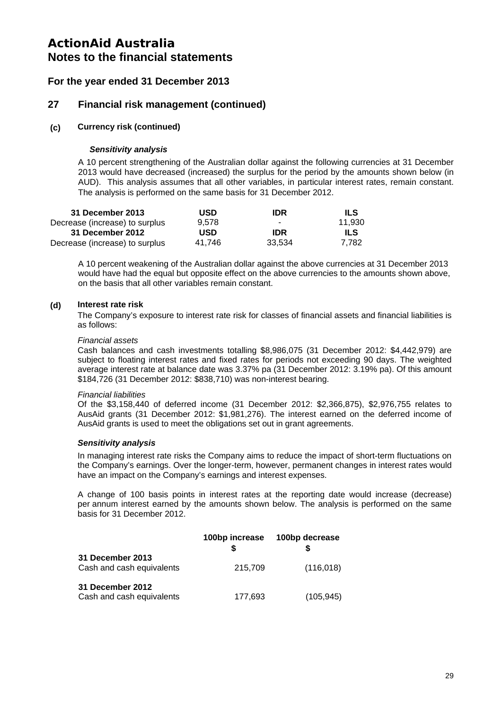### **For the year ended 31 December 2013**

### **27 Financial risk management (continued)**

#### **(c) Currency risk (continued)**

#### *Sensitivity analysis*

A 10 percent strengthening of the Australian dollar against the following currencies at 31 December 2013 would have decreased (increased) the surplus for the period by the amounts shown below (in AUD). This analysis assumes that all other variables, in particular interest rates, remain constant. The analysis is performed on the same basis for 31 December 2012.

| 31 December 2013               | <b>USD</b> | IDR    | ILS.   |
|--------------------------------|------------|--------|--------|
| Decrease (increase) to surplus | 9.578      | -      | 11.930 |
| 31 December 2012               | USD        | IDR.   | ILS    |
| Decrease (increase) to surplus | 41.746     | 33.534 | 7.782  |

A 10 percent weakening of the Australian dollar against the above currencies at 31 December 2013 would have had the equal but opposite effect on the above currencies to the amounts shown above, on the basis that all other variables remain constant.

### **(d) Interest rate risk**

The Company's exposure to interest rate risk for classes of financial assets and financial liabilities is as follows:

#### *Financial assets*

Cash balances and cash investments totalling \$8,986,075 (31 December 2012: \$4,442,979) are subject to floating interest rates and fixed rates for periods not exceeding 90 days. The weighted average interest rate at balance date was 3.37% pa (31 December 2012: 3.19% pa). Of this amount \$184,726 (31 December 2012: \$838,710) was non-interest bearing.

#### *Financial liabilities*

Of the \$3,158,440 of deferred income (31 December 2012: \$2,366,875), \$2,976,755 relates to AusAid grants (31 December 2012: \$1,981,276). The interest earned on the deferred income of AusAid grants is used to meet the obligations set out in grant agreements.

#### *Sensitivity analysis*

In managing interest rate risks the Company aims to reduce the impact of short-term fluctuations on the Company's earnings. Over the longer-term, however, permanent changes in interest rates would have an impact on the Company's earnings and interest expenses.

A change of 100 basis points in interest rates at the reporting date would increase (decrease) per annum interest earned by the amounts shown below. The analysis is performed on the same basis for 31 December 2012.

|                                               | 100bp increase | 100bp decrease |
|-----------------------------------------------|----------------|----------------|
| 31 December 2013<br>Cash and cash equivalents | 215,709        | (116, 018)     |
| 31 December 2012<br>Cash and cash equivalents | 177,693        | (105,945)      |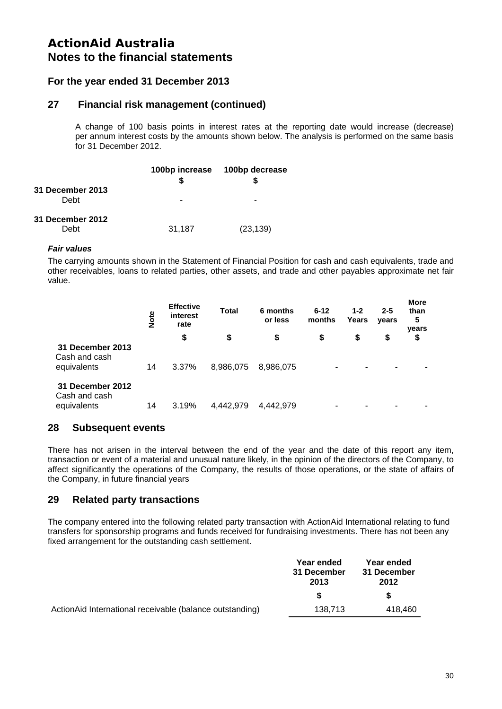### **For the year ended 31 December 2013**

### **27 Financial risk management (continued)**

A change of 100 basis points in interest rates at the reporting date would increase (decrease) per annum interest costs by the amounts shown below. The analysis is performed on the same basis for 31 December 2012.

|                          |        | 100bp increase 100bp decrease |
|--------------------------|--------|-------------------------------|
| 31 December 2013<br>Debt |        |                               |
| 31 December 2012<br>Debt | 31,187 | (23, 139)                     |

#### *Fair values*

The carrying amounts shown in the Statement of Financial Position for cash and cash equivalents, trade and other receivables, loans to related parties, other assets, and trade and other payables approximate net fair value.

|                                                  | Note | <b>Effective</b><br>interest<br>rate | <b>Total</b> | 6 months<br>or less | $6 - 12$<br>months | $1 - 2$<br>Years | $2 - 5$<br>years | <b>More</b><br>than<br>5<br>years |
|--------------------------------------------------|------|--------------------------------------|--------------|---------------------|--------------------|------------------|------------------|-----------------------------------|
|                                                  |      | \$                                   | \$           | \$                  | \$                 | S                | \$               | \$                                |
| 31 December 2013<br>Cash and cash<br>equivalents | 14   | 3.37%                                | 8,986,075    | 8,986,075           | ۰                  | ۰                |                  |                                   |
| 31 December 2012<br>Cash and cash<br>equivalents | 14   | 3.19%                                | 4.442.979    | 4,442,979           |                    | ۰                |                  |                                   |

### **28 Subsequent events**

There has not arisen in the interval between the end of the year and the date of this report any item, transaction or event of a material and unusual nature likely, in the opinion of the directors of the Company, to affect significantly the operations of the Company, the results of those operations, or the state of affairs of the Company, in future financial years

### **29 Related party transactions**

The company entered into the following related party transaction with ActionAid International relating to fund transfers for sponsorship programs and funds received for fundraising investments. There has not been any fixed arrangement for the outstanding cash settlement.

|                                                          | Year ended<br>31 December<br>2013 | Year ended<br>31 December<br>2012 |
|----------------------------------------------------------|-----------------------------------|-----------------------------------|
|                                                          | S.                                | S                                 |
| ActionAid International receivable (balance outstanding) | 138.713                           | 418.460                           |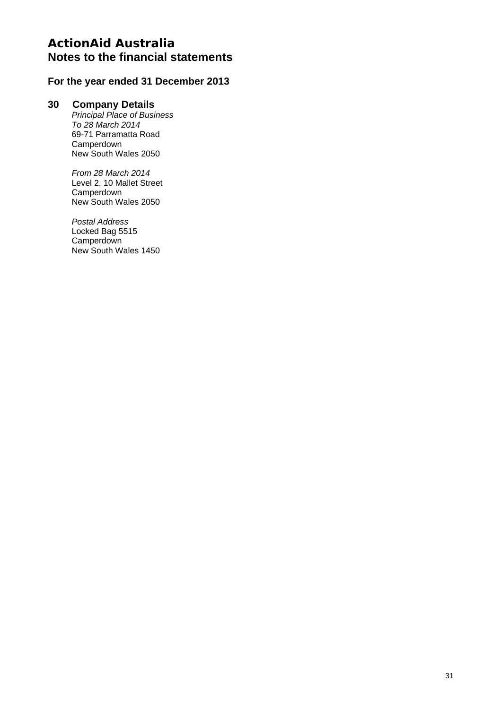### **For the year ended 31 December 2013**

### **30 Company Details**

*Principal Place of Business To 28 March 2014*  69-71 Parramatta Road Camperdown New South Wales 2050

*From 28 March 2014*  Level 2, 10 Mallet Street **Camperdown** New South Wales 2050

*Postal Address*  Locked Bag 5515 **Camperdown** New South Wales 1450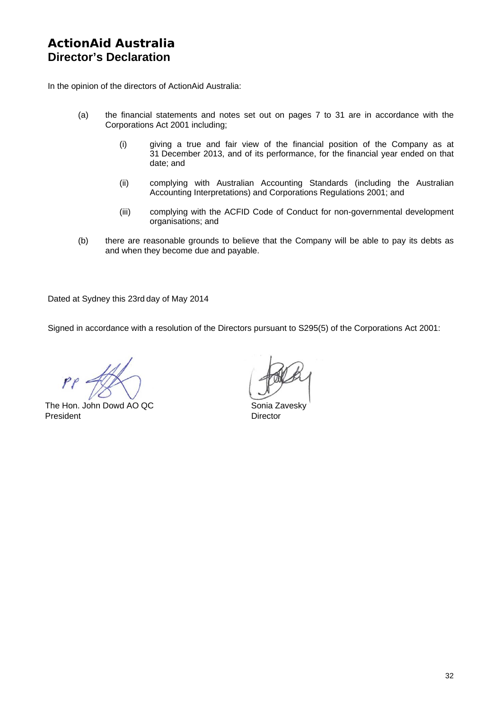# **ActionAid Australia Director's Declaration**

In the opinion of the directors of ActionAid Australia:

- (a) the financial statements and notes set out on pages 7 to 31 are in accordance with the Corporations Act 2001 including;
	- (i) giving a true and fair view of the financial position of the Company as at 31 December 2013, and of its performance, for the financial year ended on that date; and
	- (ii) complying with Australian Accounting Standards (including the Australian Accounting Interpretations) and Corporations Regulations 2001; and
	- (iii) complying with the ACFID Code of Conduct for non-governmental development organisations; and
- (b) there are reasonable grounds to believe that the Company will be able to pay its debts as and when they become due and payable.

Dated at Sydney this 23rd day of May 2014

Signed in accordance with a resolution of the Directors pursuant to S295(5) of the Corporations Act 2001:

The Hon. John Dowd AO QC Sonia Zavesky President **Director**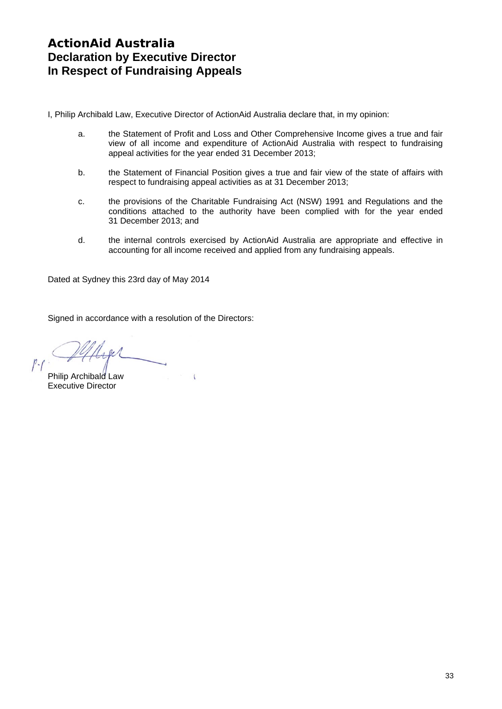I, Philip Archibald Law, Executive Director of ActionAid Australia declare that, in my opinion:

- a. the Statement of Profit and Loss and Other Comprehensive Income gives a true and fair view of all income and expenditure of ActionAid Australia with respect to fundraising appeal activities for the year ended 31 December 2013;
- b. the Statement of Financial Position gives a true and fair view of the state of affairs with respect to fundraising appeal activities as at 31 December 2013;
- c. the provisions of the Charitable Fundraising Act (NSW) 1991 and Regulations and the conditions attached to the authority have been complied with for the year ended 31 December 2013; and
- d. the internal controls exercised by ActionAid Australia are appropriate and effective in accounting for all income received and applied from any fundraising appeals.

Dated at Sydney this 23rd day of May 2014

Signed in accordance with a resolution of the Directors:

 $\sqrt{2}$ 

 $0.1$ 

Philip Archibald Law Executive Director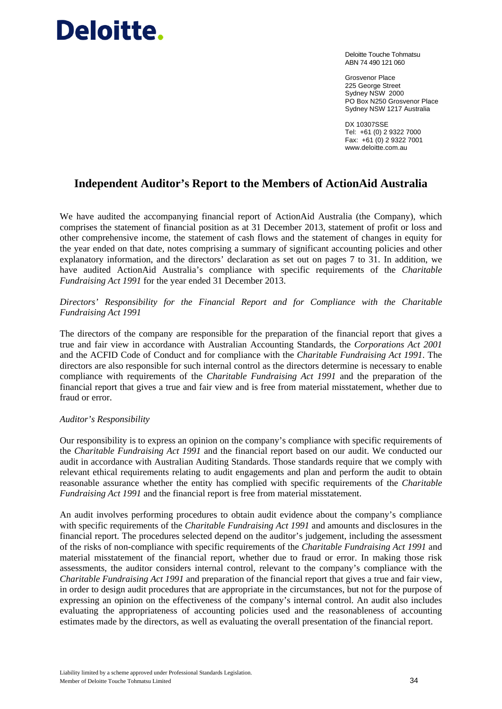# Deloitte.

Deloitte Touche Tohmatsu ABN 74 490 121 060

Grosvenor Place 225 George Street Sydney NSW 2000 PO Box N250 Grosvenor Place Sydney NSW 1217 Australia

DX 10307SSE Tel: +61 (0) 2 9322 7000 Fax: +61 (0) 2 9322 7001 www.deloitte.com.au

# **Independent Auditor's Report to the Members of ActionAid Australia**

We have audited the accompanying financial report of ActionAid Australia (the Company), which comprises the statement of financial position as at 31 December 2013, statement of profit or loss and other comprehensive income, the statement of cash flows and the statement of changes in equity for the year ended on that date, notes comprising a summary of significant accounting policies and other explanatory information, and the directors' declaration as set out on pages 7 to 31. In addition, we have audited ActionAid Australia's compliance with specific requirements of the *Charitable Fundraising Act 1991* for the year ended 31 December 2013.

### *Directors' Responsibility for the Financial Report and for Compliance with the Charitable Fundraising Act 1991*

The directors of the company are responsible for the preparation of the financial report that gives a true and fair view in accordance with Australian Accounting Standards, the *Corporations Act 2001*  and the ACFID Code of Conduct and for compliance with the *Charitable Fundraising Act 1991*. The directors are also responsible for such internal control as the directors determine is necessary to enable compliance with requirements of the *Charitable Fundraising Act 1991* and the preparation of the financial report that gives a true and fair view and is free from material misstatement, whether due to fraud or error.

#### *Auditor's Responsibility*

Our responsibility is to express an opinion on the company's compliance with specific requirements of the *Charitable Fundraising Act 1991* and the financial report based on our audit. We conducted our audit in accordance with Australian Auditing Standards. Those standards require that we comply with relevant ethical requirements relating to audit engagements and plan and perform the audit to obtain reasonable assurance whether the entity has complied with specific requirements of the *Charitable Fundraising Act 1991* and the financial report is free from material misstatement.

An audit involves performing procedures to obtain audit evidence about the company's compliance with specific requirements of the *Charitable Fundraising Act 1991* and amounts and disclosures in the financial report. The procedures selected depend on the auditor's judgement, including the assessment of the risks of non-compliance with specific requirements of the *Charitable Fundraising Act 1991* and material misstatement of the financial report, whether due to fraud or error. In making those risk assessments, the auditor considers internal control, relevant to the company's compliance with the *Charitable Fundraising Act 1991* and preparation of the financial report that gives a true and fair view, in order to design audit procedures that are appropriate in the circumstances, but not for the purpose of expressing an opinion on the effectiveness of the company's internal control. An audit also includes evaluating the appropriateness of accounting policies used and the reasonableness of accounting estimates made by the directors, as well as evaluating the overall presentation of the financial report.